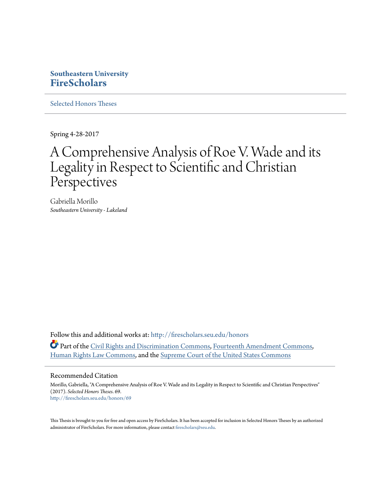# **Southeastern University [FireScholars](http://firescholars.seu.edu?utm_source=firescholars.seu.edu%2Fhonors%2F69&utm_medium=PDF&utm_campaign=PDFCoverPages)**

[Selected Honors Theses](http://firescholars.seu.edu/honors?utm_source=firescholars.seu.edu%2Fhonors%2F69&utm_medium=PDF&utm_campaign=PDFCoverPages)

Spring 4-28-2017

# A Comprehensive Analysis of Roe V. Wade and its Legality in Respect to Scientific and Christian Perspectives

Gabriella Morillo *Southeastern University - Lakeland*

Follow this and additional works at: [http://firescholars.seu.edu/honors](http://firescholars.seu.edu/honors?utm_source=firescholars.seu.edu%2Fhonors%2F69&utm_medium=PDF&utm_campaign=PDFCoverPages) Part of the [Civil Rights and Discrimination Commons,](http://network.bepress.com/hgg/discipline/585?utm_source=firescholars.seu.edu%2Fhonors%2F69&utm_medium=PDF&utm_campaign=PDFCoverPages) [Fourteenth Amendment Commons](http://network.bepress.com/hgg/discipline/1116?utm_source=firescholars.seu.edu%2Fhonors%2F69&utm_medium=PDF&utm_campaign=PDFCoverPages), [Human Rights Law Commons](http://network.bepress.com/hgg/discipline/847?utm_source=firescholars.seu.edu%2Fhonors%2F69&utm_medium=PDF&utm_campaign=PDFCoverPages), and the [Supreme Court of the United States Commons](http://network.bepress.com/hgg/discipline/1350?utm_source=firescholars.seu.edu%2Fhonors%2F69&utm_medium=PDF&utm_campaign=PDFCoverPages)

#### Recommended Citation

Morillo, Gabriella, "A Comprehensive Analysis of Roe V. Wade and its Legality in Respect to Scientific and Christian Perspectives" (2017). *Selected Honors Theses*. 69. [http://firescholars.seu.edu/honors/69](http://firescholars.seu.edu/honors/69?utm_source=firescholars.seu.edu%2Fhonors%2F69&utm_medium=PDF&utm_campaign=PDFCoverPages)

This Thesis is brought to you for free and open access by FireScholars. It has been accepted for inclusion in Selected Honors Theses by an authorized administrator of FireScholars. For more information, please contact [firescholars@seu.edu](mailto:firescholars@seu.edu).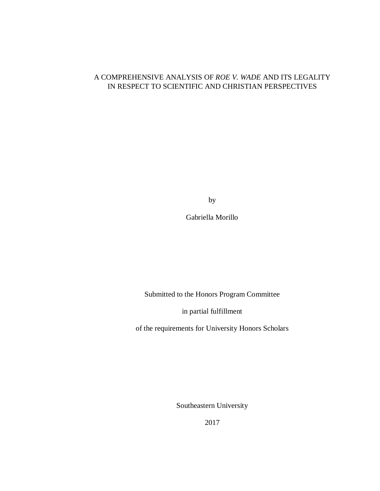### A COMPREHENSIVE ANALYSIS OF *ROE V. WADE* AND ITS LEGALITY IN RESPECT TO SCIENTIFIC AND CHRISTIAN PERSPECTIVES

by

Gabriella Morillo

Submitted to the Honors Program Committee

in partial fulfillment

of the requirements for University Honors Scholars

Southeastern University

2017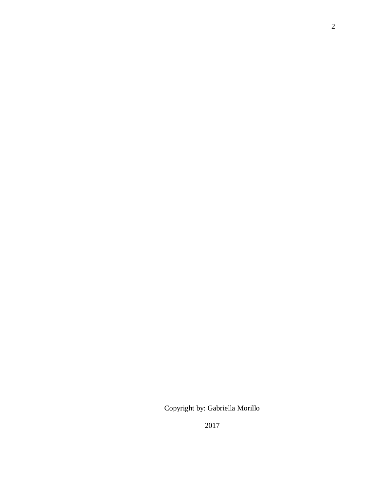Copyright by: Gabriella Morillo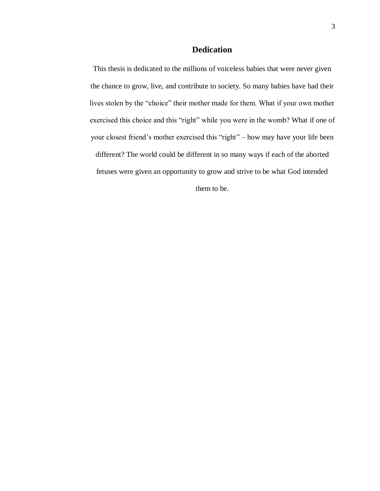## **Dedication**

This thesis is dedicated to the millions of voiceless babies that were never given the chance to grow, live, and contribute to society. So many babies have had their lives stolen by the "choice" their mother made for them. What if your own mother exercised this choice and this "right" while you were in the womb? What if one of your closest friend's mother exercised this "right" – how may have your life been different? The world could be different in so many ways if each of the aborted fetuses were given an opportunity to grow and strive to be what God intended them to be.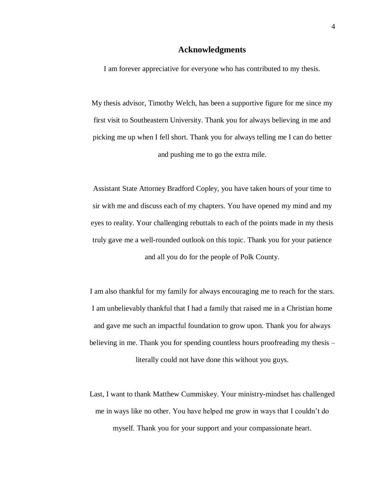#### **Acknowledgments**

I am forever appreciative for everyone who has contributed to my thesis.

My thesis advisor, Timothy Welch, has been a supportive figure for me since my first visit to Southeastern University. Thank you for always believing in me and picking me up when I fell short. Thank you for always telling me I can do better and pushing me to go the extra mile.

Assistant State Attorney Bradford Copley, you have taken hours of your time to sir with me and discuss each of my chapters. You have opened my mind and my eyes to reality. Your challenging rebuttals to each of the points made in my thesis truly gave me a well-rounded outlook on this topic. Thank you for your patience and all you do for the people of Polk County.

I am also thankful for my family for always encouraging me to reach for the stars. I am unbelievably thankful that I had a family that raised me in a Christian home and gave me such an impactful foundation to grow upon. Thank you for always believing in me. Thank you for spending countless hours proofreading my thesis – literally could not have done this without you guys.

Last, I want to thank Matthew Cummiskey. Your ministry-mindset has challenged me in ways like no other. You have helped me grow in ways that I couldn't do myself. Thank you for your support and your compassionate heart.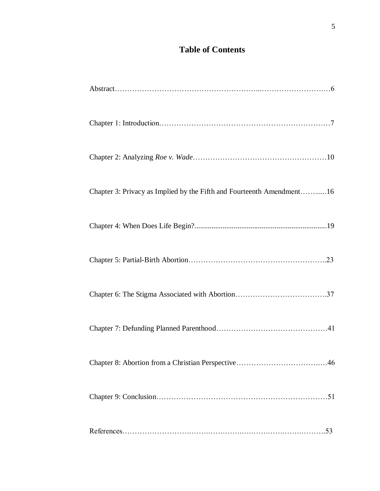# **Table of Contents**

| Chapter 3: Privacy as Implied by the Fifth and Fourteenth Amendment16 |
|-----------------------------------------------------------------------|
|                                                                       |
|                                                                       |
|                                                                       |
|                                                                       |
|                                                                       |
|                                                                       |
|                                                                       |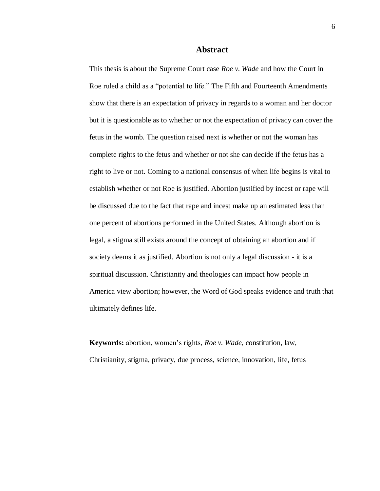#### **Abstract**

This thesis is about the Supreme Court case *Roe v. Wade* and how the Court in Roe ruled a child as a "potential to life." The Fifth and Fourteenth Amendments show that there is an expectation of privacy in regards to a woman and her doctor but it is questionable as to whether or not the expectation of privacy can cover the fetus in the womb. The question raised next is whether or not the woman has complete rights to the fetus and whether or not she can decide if the fetus has a right to live or not. Coming to a national consensus of when life begins is vital to establish whether or not Roe is justified. Abortion justified by incest or rape will be discussed due to the fact that rape and incest make up an estimated less than one percent of abortions performed in the United States. Although abortion is legal, a stigma still exists around the concept of obtaining an abortion and if society deems it as justified. Abortion is not only a legal discussion - it is a spiritual discussion. Christianity and theologies can impact how people in America view abortion; however, the Word of God speaks evidence and truth that ultimately defines life.

**Keywords:** abortion, women's rights, *Roe v. Wade*, constitution, law, Christianity, stigma, privacy, due process, science, innovation, life, fetus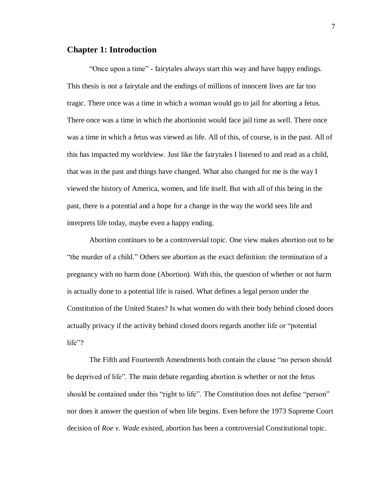#### **Chapter 1: Introduction**

"Once upon a time" - fairytales always start this way and have happy endings. This thesis is not a fairytale and the endings of millions of innocent lives are far too tragic. There once was a time in which a woman would go to jail for aborting a fetus. There once was a time in which the abortionist would face jail time as well. There once was a time in which a fetus was viewed as life. All of this, of course, is in the past. All of this has impacted my worldview. Just like the fairytales I listened to and read as a child, that was in the past and things have changed. What also changed for me is the way I viewed the history of America, women, and life itself. But with all of this being in the past, there is a potential and a hope for a change in the way the world sees life and interprets life today, maybe even a happy ending.

Abortion continues to be a controversial topic. One view makes abortion out to be "the murder of a child." Others see abortion as the exact definition: the termination of a pregnancy with no harm done (Abortion). With this, the question of whether or not harm is actually done to a potential life is raised. What defines a legal person under the Constitution of the United States? Is what women do with their body behind closed doors actually privacy if the activity behind closed doors regards another life or "potential  $life"?$ 

The Fifth and Fourteenth Amendments both contain the clause "no person should be deprived of life". The main debate regarding abortion is whether or not the fetus should be contained under this "right to life". The Constitution does not define "person" nor does it answer the question of when life begins. Even before the 1973 Supreme Court decision of *Roe v. Wade* existed, abortion has been a controversial Constitutional topic.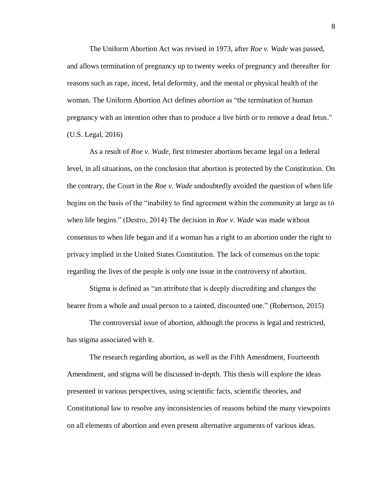The Uniform Abortion Act was revised in 1973, after *Roe v. Wade* was passed, and allows termination of pregnancy up to twenty weeks of pregnancy and thereafter for reasons such as rape, incest, fetal deformity, and the mental or physical health of the woman. The Uniform Abortion Act defines *abortion* as "the termination of human pregnancy with an intention other than to produce a live birth or to remove a dead fetus." (U.S. Legal, 2016)

As a result of *Roe v. Wade*, first trimester abortions became legal on a federal level, in all situations, on the conclusion that abortion is protected by the Constitution. On the contrary, the Court in the *Roe v. Wade* undoubtedly avoided the question of when life begins on the basis of the "inability to find agreement within the community at large as to when life begins." (Destro, 2014) The decision in *Roe v. Wade* was made without consensus to when life began and if a woman has a right to an abortion under the right to privacy implied in the United States Constitution. The lack of consensus on the topic regarding the lives of the people is only one issue in the controversy of abortion.

Stigma is defined as "an attribute that is deeply discrediting and changes the bearer from a whole and usual person to a tainted, discounted one." (Robertson, 2015)

The controversial issue of abortion, although the process is legal and restricted, has stigma associated with it.

The research regarding abortion, as well as the Fifth Amendment, Fourteenth Amendment, and stigma will be discussed in-depth. This thesis will explore the ideas presented in various perspectives, using scientific facts, scientific theories, and Constitutional law to resolve any inconsistencies of reasons behind the many viewpoints on all elements of abortion and even present alternative arguments of various ideas.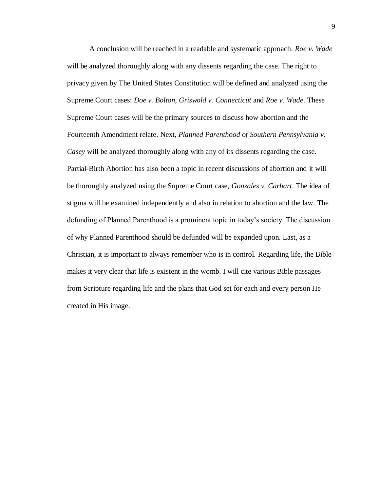A conclusion will be reached in a readable and systematic approach. *Roe v. Wade*  will be analyzed thoroughly along with any dissents regarding the case. The right to privacy given by The United States Constitution will be defined and analyzed using the Supreme Court cases: *Doe v. Bolton*, *Griswold v. Connecticut* and *Roe v. Wade*. These Supreme Court cases will be the primary sources to discuss how abortion and the Fourteenth Amendment relate. Next, *Planned Parenthood of Southern Pennsylvania v. Casey* will be analyzed thoroughly along with any of its dissents regarding the case. Partial-Birth Abortion has also been a topic in recent discussions of abortion and it will be thoroughly analyzed using the Supreme Court case, *Gonzales v. Carhart*. The idea of stigma will be examined independently and also in relation to abortion and the law. The defunding of Planned Parenthood is a prominent topic in today's society. The discussion of why Planned Parenthood should be defunded will be expanded upon. Last, as a Christian, it is important to always remember who is in control. Regarding life, the Bible makes it very clear that life is existent in the womb. I will cite various Bible passages from Scripture regarding life and the plans that God set for each and every person He created in His image.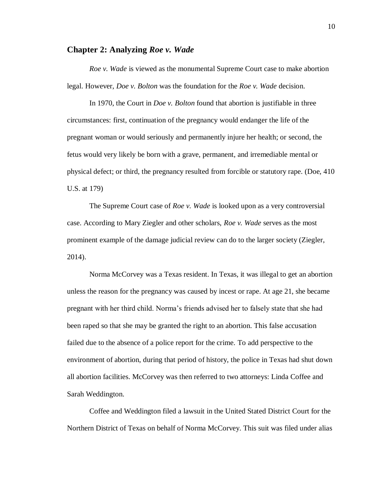#### **Chapter 2: Analyzing** *Roe v. Wade*

*Roe v. Wade* is viewed as the monumental Supreme Court case to make abortion legal. However, *Doe v. Bolton* was the foundation for the *Roe v. Wade* decision.

In 1970, the Court in *Doe v. Bolton* found that abortion is justifiable in three circumstances: first, continuation of the pregnancy would endanger the life of the pregnant woman or would seriously and permanently injure her health; or second, the fetus would very likely be born with a grave, permanent, and irremediable mental or physical defect; or third, the pregnancy resulted from forcible or statutory rape. (Doe, 410 U.S. at 179)

The Supreme Court case of *Roe v. Wade* is looked upon as a very controversial case. According to Mary Ziegler and other scholars, *Roe v. Wade* serves as the most prominent example of the damage judicial review can do to the larger society (Ziegler, 2014).

Norma McCorvey was a Texas resident. In Texas, it was illegal to get an abortion unless the reason for the pregnancy was caused by incest or rape. At age 21, she became pregnant with her third child. Norma's friends advised her to falsely state that she had been raped so that she may be granted the right to an abortion. This false accusation failed due to the absence of a police report for the crime. To add perspective to the environment of abortion, during that period of history, the police in Texas had shut down all abortion facilities. McCorvey was then referred to two attorneys: Linda Coffee and Sarah Weddington.

Coffee and Weddington filed a lawsuit in the United Stated District Court for the Northern District of Texas on behalf of Norma McCorvey. This suit was filed under alias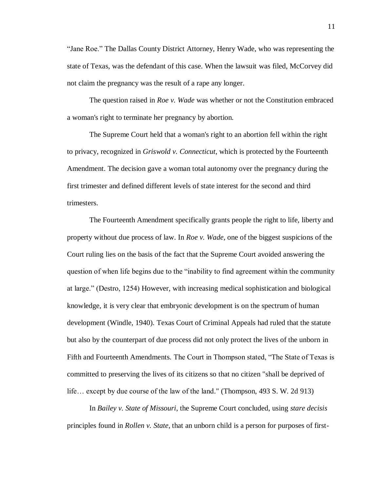"Jane Roe." The Dallas County District Attorney, Henry Wade, who was representing the state of Texas, was the defendant of this case. When the lawsuit was filed, McCorvey did not claim the pregnancy was the result of a rape any longer.

The question raised in *Roe v. Wade* was whether or not the Constitution embraced a woman's right to terminate her pregnancy by abortion.

The Supreme Court held that a woman's right to an abortion fell within the right to privacy, recognized in *Griswold v. Connecticut*, which is protected by the Fourteenth Amendment. The decision gave a woman total autonomy over the pregnancy during the first trimester and defined different levels of state interest for the second and third trimesters.

The Fourteenth Amendment specifically grants people the right to life, liberty and property without due process of law. In *Roe v. Wade*, one of the biggest suspicions of the Court ruling lies on the basis of the fact that the Supreme Court avoided answering the question of when life begins due to the "inability to find agreement within the community at large." (Destro, 1254) However, with increasing medical sophistication and biological knowledge, it is very clear that embryonic development is on the spectrum of human development (Windle, 1940). Texas Court of Criminal Appeals had ruled that the statute but also by the counterpart of due process did not only protect the lives of the unborn in Fifth and Fourteenth Amendments. The Court in Thompson stated, "The State of Texas is committed to preserving the lives of its citizens so that no citizen "shall be deprived of life… except by due course of the law of the land." (Thompson, 493 S. W. 2d 913)

In *Bailey v. State of Missouri*, the Supreme Court concluded, using *stare decisis* principles found in *Rollen v. State*, that an unborn child is a person for purposes of first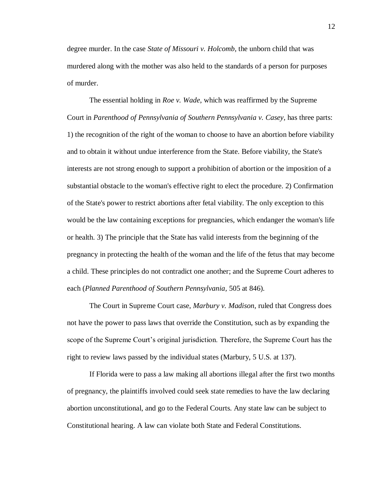degree murder. In the case *State of Missouri v. Holcomb*, the unborn child that was murdered along with the mother was also held to the standards of a person for purposes of murder.

The essential holding in *Roe v. Wade*, which was reaffirmed by the Supreme Court in *Parenthood of Pennsylvania of Southern Pennsylvania v. Casey*, has three parts: 1) the recognition of the right of the woman to choose to have an abortion before viability and to obtain it without undue interference from the State. Before viability, the State's interests are not strong enough to support a prohibition of abortion or the imposition of a substantial obstacle to the woman's effective right to elect the procedure. 2) Confirmation of the State's power to restrict abortions after fetal viability. The only exception to this would be the law containing exceptions for pregnancies, which endanger the woman's life or health. 3) The principle that the State has valid interests from the beginning of the pregnancy in protecting the health of the woman and the life of the fetus that may become a child. These principles do not contradict one another; and the Supreme Court adheres to each (*Planned Parenthood of Southern Pennsylvania,* 505 at 846).

The Court in Supreme Court case, *Marbury v. Madison*, ruled that Congress does not have the power to pass laws that override the Constitution, such as by expanding the scope of the Supreme Court's original jurisdiction. Therefore, the Supreme Court has the right to review laws passed by the individual states (Marbury, 5 U.S. at 137).

If Florida were to pass a law making all abortions illegal after the first two months of pregnancy, the plaintiffs involved could seek state remedies to have the law declaring abortion unconstitutional, and go to the Federal Courts. Any state law can be subject to Constitutional hearing. A law can violate both State and Federal Constitutions.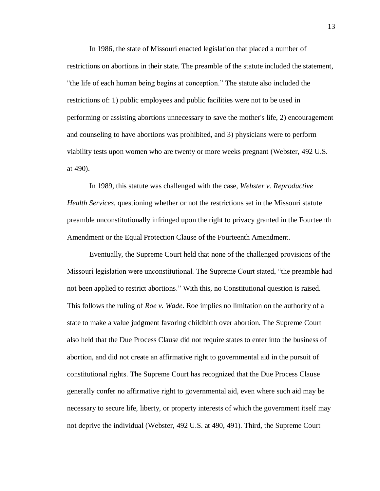In 1986, the state of Missouri enacted legislation that placed a number of restrictions on abortions in their state. The preamble of the statute included the statement, "the life of each human being begins at conception." The statute also included the restrictions of: 1) public employees and public facilities were not to be used in performing or assisting abortions unnecessary to save the mother's life, 2) encouragement and counseling to have abortions was prohibited, and 3) physicians were to perform viability tests upon women who are twenty or more weeks pregnant (Webster, 492 U.S. at 490).

In 1989, this statute was challenged with the case, *Webster v. Reproductive Health Services,* questioning whether or not the restrictions set in the Missouri statute preamble unconstitutionally infringed upon the right to privacy granted in the Fourteenth Amendment or the Equal Protection Clause of the Fourteenth Amendment.

Eventually, the Supreme Court held that none of the challenged provisions of the Missouri legislation were unconstitutional. The Supreme Court stated, "the preamble had not been applied to restrict abortions." With this, no Constitutional question is raised. This follows the ruling of *Roe v. Wade*. Roe implies no limitation on the authority of a state to make a value judgment favoring childbirth over abortion. The Supreme Court also held that the Due Process Clause did not require states to enter into the business of abortion, and did not create an affirmative right to governmental aid in the pursuit of constitutional rights. The Supreme Court has recognized that the Due Process Clause generally confer no affirmative right to governmental aid, even where such aid may be necessary to secure life, liberty, or property interests of which the government itself may not deprive the individual (Webster, 492 U.S. at 490, 491). Third, the Supreme Court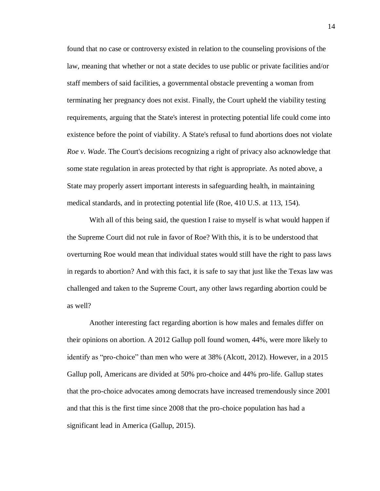found that no case or controversy existed in relation to the counseling provisions of the law, meaning that whether or not a state decides to use public or private facilities and/or staff members of said facilities, a governmental obstacle preventing a woman from terminating her pregnancy does not exist. Finally, the Court upheld the viability testing requirements, arguing that the State's interest in protecting potential life could come into existence before the point of viability. A State's refusal to fund abortions does not violate *Roe v. Wade*. The Court's decisions recognizing a right of privacy also acknowledge that some state regulation in areas protected by that right is appropriate. As noted above, a State may properly assert important interests in safeguarding health, in maintaining medical standards, and in protecting potential life (Roe, 410 U.S. at 113, 154).

With all of this being said, the question I raise to myself is what would happen if the Supreme Court did not rule in favor of Roe? With this, it is to be understood that overturning Roe would mean that individual states would still have the right to pass laws in regards to abortion? And with this fact, it is safe to say that just like the Texas law was challenged and taken to the Supreme Court, any other laws regarding abortion could be as well?

Another interesting fact regarding abortion is how males and females differ on their opinions on abortion. A 2012 Gallup poll found women, 44%, were more likely to identify as "pro-choice" than men who were at 38% (Alcott, 2012). However, in a 2015 Gallup poll, Americans are divided at 50% pro-choice and 44% pro-life. Gallup states that the pro-choice advocates among democrats have increased tremendously since 2001 and that this is the first time since 2008 that the pro-choice population has had a significant lead in America (Gallup, 2015).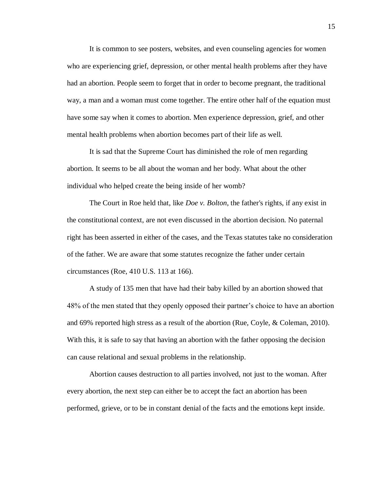It is common to see posters, websites, and even counseling agencies for women who are experiencing grief, depression, or other mental health problems after they have had an abortion. People seem to forget that in order to become pregnant, the traditional way, a man and a woman must come together. The entire other half of the equation must have some say when it comes to abortion. Men experience depression, grief, and other mental health problems when abortion becomes part of their life as well.

It is sad that the Supreme Court has diminished the role of men regarding abortion. It seems to be all about the woman and her body. What about the other individual who helped create the being inside of her womb?

The Court in Roe held that, like *Doe v. Bolton*, the father's rights, if any exist in the constitutional context, are not even discussed in the abortion decision. No paternal right has been asserted in either of the cases, and the Texas statutes take no consideration of the father. We are aware that some statutes recognize the father under certain circumstances (Roe, 410 U.S. 113 at 166).

A study of 135 men that have had their baby killed by an abortion showed that 48% of the men stated that they openly opposed their partner's choice to have an abortion and 69% reported high stress as a result of the abortion (Rue, Coyle, & Coleman, 2010). With this, it is safe to say that having an abortion with the father opposing the decision can cause relational and sexual problems in the relationship.

Abortion causes destruction to all parties involved, not just to the woman. After every abortion, the next step can either be to accept the fact an abortion has been performed, grieve, or to be in constant denial of the facts and the emotions kept inside.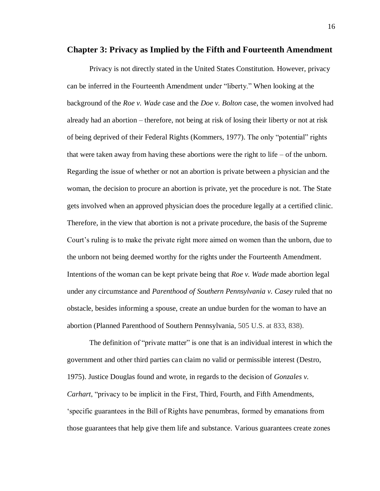#### **Chapter 3: Privacy as Implied by the Fifth and Fourteenth Amendment**

Privacy is not directly stated in the United States Constitution. However, privacy can be inferred in the Fourteenth Amendment under "liberty." When looking at the background of the *Roe v. Wade* case and the *Doe v. Bolton* case, the women involved had already had an abortion – therefore, not being at risk of losing their liberty or not at risk of being deprived of their Federal Rights (Kommers, 1977). The only "potential" rights that were taken away from having these abortions were the right to life  $-$  of the unborn. Regarding the issue of whether or not an abortion is private between a physician and the woman, the decision to procure an abortion is private, yet the procedure is not. The State gets involved when an approved physician does the procedure legally at a certified clinic. Therefore, in the view that abortion is not a private procedure, the basis of the Supreme Court's ruling is to make the private right more aimed on women than the unborn, due to the unborn not being deemed worthy for the rights under the Fourteenth Amendment. Intentions of the woman can be kept private being that *Roe v. Wade* made abortion legal under any circumstance and *Parenthood of Southern Pennsylvania v. Casey* ruled that no obstacle, besides informing a spouse, create an undue burden for the woman to have an abortion (Planned Parenthood of Southern Pennsylvania, 505 U.S. at 833, 838).

The definition of "private matter" is one that is an individual interest in which the government and other third parties can claim no valid or permissible interest (Destro, 1975). Justice Douglas found and wrote, in regards to the decision of *Gonzales v. Carhart*, "privacy to be implicit in the First, Third, Fourth, and Fifth Amendments, 'specific guarantees in the Bill of Rights have penumbras, formed by emanations from those guarantees that help give them life and substance. Various guarantees create zones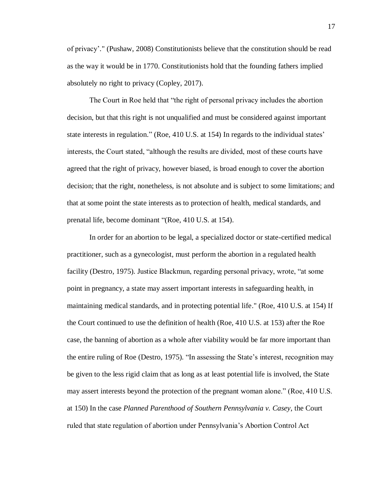of privacy'." (Pushaw, 2008) Constitutionists believe that the constitution should be read as the way it would be in 1770. Constitutionists hold that the founding fathers implied absolutely no right to privacy (Copley, 2017).

The Court in Roe held that "the right of personal privacy includes the abortion decision, but that this right is not unqualified and must be considered against important state interests in regulation." (Roe, 410 U.S. at 154) In regards to the individual states' interests, the Court stated, "although the results are divided, most of these courts have agreed that the right of privacy, however biased, is broad enough to cover the abortion decision; that the right, nonetheless, is not absolute and is subject to some limitations; and that at some point the state interests as to protection of health, medical standards, and prenatal life, become dominant "(Roe, 410 U.S. at 154).

In order for an abortion to be legal, a specialized doctor or state-certified medical practitioner, such as a gynecologist, must perform the abortion in a regulated health facility (Destro, 1975). Justice Blackmun, regarding personal privacy, wrote, "at some point in pregnancy, a state may assert important interests in safeguarding health, in maintaining medical standards, and in protecting potential life." (Roe, 410 U.S. at 154) If the Court continued to use the definition of health (Roe, 410 U.S. at 153) after the Roe case, the banning of abortion as a whole after viability would be far more important than the entire ruling of Roe (Destro, 1975). "In assessing the State's interest, recognition may be given to the less rigid claim that as long as at least potential life is involved, the State may assert interests beyond the protection of the pregnant woman alone." (Roe, 410 U.S. at 150) In the case *Planned Parenthood of Southern Pennsylvania v. Casey*, the Court ruled that state regulation of abortion under Pennsylvania's Abortion Control Act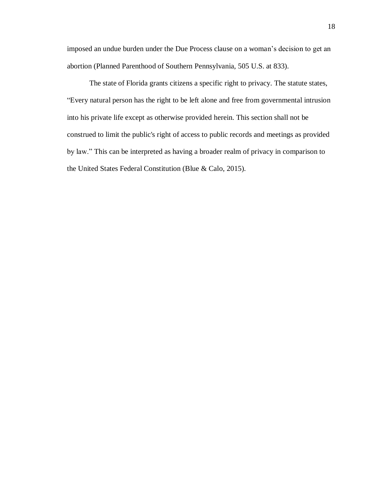imposed an undue burden under the Due Process clause on a woman's decision to get an abortion (Planned Parenthood of Southern Pennsylvania, 505 U.S. at 833).

The state of Florida grants citizens a specific right to privacy. The statute states, "Every natural person has the right to be left alone and free from governmental intrusion into his private life except as otherwise provided herein. This section shall not be construed to limit the public's right of access to public records and meetings as provided by law." This can be interpreted as having a broader realm of privacy in comparison to the United States Federal Constitution (Blue & Calo, 2015).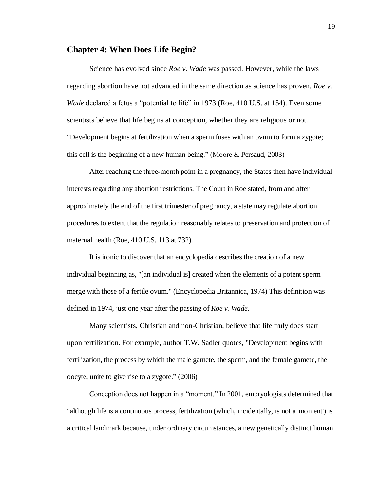#### **Chapter 4: When Does Life Begin?**

Science has evolved since *Roe v. Wade* was passed. However, while the laws regarding abortion have not advanced in the same direction as science has proven. *Roe v. Wade* declared a fetus a "potential to life" in 1973 (Roe, 410 U.S. at 154). Even some scientists believe that life begins at conception, whether they are religious or not. "Development begins at fertilization when a sperm fuses with an ovum to form a zygote; this cell is the beginning of a new human being." (Moore & Persaud, 2003)

After reaching the three-month point in a pregnancy, the States then have individual interests regarding any abortion restrictions. The Court in Roe stated, from and after approximately the end of the first trimester of pregnancy, a state may regulate abortion procedures to extent that the regulation reasonably relates to preservation and protection of maternal health (Roe, 410 U.S. 113 at 732).

It is ironic to discover that an encyclopedia describes the creation of a new individual beginning as, "[an individual is] created when the elements of a potent sperm merge with those of a fertile ovum." (Encyclopedia Britannica, 1974) This definition was defined in 1974, just one year after the passing of *Roe v. Wade*.

Many scientists, Christian and non-Christian, believe that life truly does start upon fertilization. For example, author T.W. Sadler quotes, "Development begins with fertilization, the process by which the male gamete, the sperm, and the female gamete, the oocyte, unite to give rise to a zygote." (2006)

Conception does not happen in a "moment." In 2001, embryologists determined that "although life is a continuous process, fertilization (which, incidentally, is not a 'moment') is a critical landmark because, under ordinary circumstances, a new genetically distinct human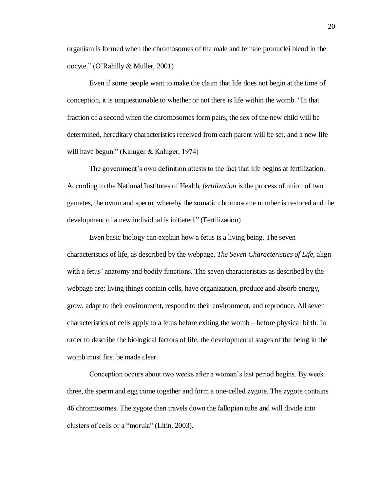organism is formed when the chromosomes of the male and female pronuclei blend in the oocyte." (O'Rahilly & Muller, 2001)

Even if some people want to make the claim that life does not begin at the time of conception, it is unquestionable to whether or not there is life within the womb. "In that fraction of a second when the chromosomes form pairs, the sex of the new child will be determined, hereditary characteristics received from each parent will be set, and a new life will have begun." (Kaluger & Kaluger, 1974)

The government's own definition attests to the fact that life begins at fertilization. According to the National Institutes of Health, *fertilization* is the process of union of two gametes, the ovum and sperm, whereby the somatic chromosome number is restored and the development of a new individual is initiated." (Fertilization)

Even basic biology can explain how a fetus is a living being. The seven characteristics of life, as described by the webpage, *The Seven Characteristics of Life*, align with a fetus' anatomy and bodily functions. The seven characteristics as described by the webpage are: living things contain cells, have organization, produce and absorb energy, grow, adapt to their environment, respond to their environment, and reproduce. All seven characteristics of cells apply to a fetus before exiting the womb – before physical birth. In order to describe the biological factors of life, the developmental stages of the being in the womb must first be made clear.

Conception occurs about two weeks after a woman's last period begins. By week three, the sperm and egg come together and form a one-celled zygote. The zygote contains 46 chromosomes. The zygote then travels down the fallopian tube and will divide into clusters of cells or a "morula" (Litin, 2003).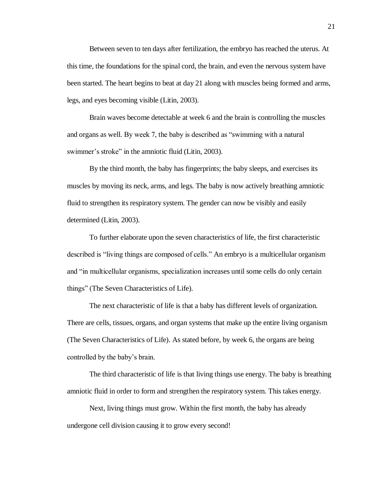Between seven to ten days after fertilization, the embryo has reached the uterus. At this time, the foundations for the spinal cord, the brain, and even the nervous system have been started. The heart begins to beat at day 21 along with muscles being formed and arms, legs, and eyes becoming visible (Litin, 2003).

Brain waves become detectable at week 6 and the brain is controlling the muscles and organs as well. By week 7, the baby is described as "swimming with a natural swimmer's stroke" in the amniotic fluid (Litin, 2003).

By the third month, the baby has fingerprints; the baby sleeps, and exercises its muscles by moving its neck, arms, and legs. The baby is now actively breathing amniotic fluid to strengthen its respiratory system. The gender can now be visibly and easily determined (Litin, 2003).

To further elaborate upon the seven characteristics of life, the first characteristic described is "living things are composed of cells." An embryo is a multicellular organism and "in multicellular organisms, specialization increases until some cells do only certain things" (The Seven Characteristics of Life).

The next characteristic of life is that a baby has different levels of organization. There are cells, tissues, organs, and organ systems that make up the entire living organism (The Seven Characteristics of Life). As stated before, by week 6, the organs are being controlled by the baby's brain.

The third characteristic of life is that living things use energy. The baby is breathing amniotic fluid in order to form and strengthen the respiratory system. This takes energy.

Next, living things must grow. Within the first month, the baby has already undergone cell division causing it to grow every second!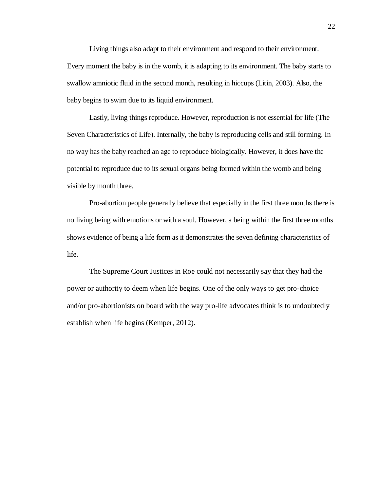Living things also adapt to their environment and respond to their environment. Every moment the baby is in the womb, it is adapting to its environment. The baby starts to swallow amniotic fluid in the second month, resulting in hiccups (Litin, 2003). Also, the baby begins to swim due to its liquid environment.

Lastly, living things reproduce. However, reproduction is not essential for life (The Seven Characteristics of Life). Internally, the baby is reproducing cells and still forming. In no way has the baby reached an age to reproduce biologically. However, it does have the potential to reproduce due to its sexual organs being formed within the womb and being visible by month three.

Pro-abortion people generally believe that especially in the first three months there is no living being with emotions or with a soul. However, a being within the first three months shows evidence of being a life form as it demonstrates the seven defining characteristics of life.

The Supreme Court Justices in Roe could not necessarily say that they had the power or authority to deem when life begins. One of the only ways to get pro-choice and/or pro-abortionists on board with the way pro-life advocates think is to undoubtedly establish when life begins (Kemper, 2012).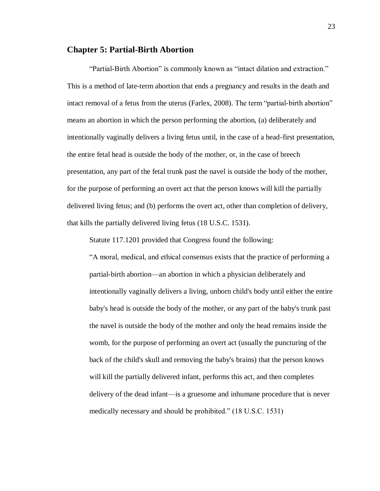#### **Chapter 5: Partial-Birth Abortion**

"Partial-Birth Abortion" is commonly known as "intact dilation and extraction." This is a method of late-term abortion that ends a pregnancy and results in the death and intact removal of a fetus from the uterus (Farlex, 2008). The term "partial-birth abortion" means an abortion in which the person performing the abortion, (a) deliberately and intentionally vaginally delivers a living fetus until, in the case of a head-first presentation, the entire fetal head is outside the body of the mother, or, in the case of breech presentation, any part of the fetal trunk past the navel is outside the body of the mother, for the purpose of performing an overt act that the person knows will kill the partially delivered living fetus; and (b) performs the overt act, other than completion of delivery, that kills the partially delivered living fetus (18 U.S.C. 1531).

Statute 117.1201 provided that Congress found the following:

"A moral, medical, and ethical consensus exists that the practice of performing a partial-birth abortion—an abortion in which a physician deliberately and intentionally vaginally delivers a living, unborn child's body until either the entire baby's head is outside the body of the mother, or any part of the baby's trunk past the navel is outside the body of the mother and only the head remains inside the womb, for the purpose of performing an overt act (usually the puncturing of the back of the child's skull and removing the baby's brains) that the person knows will kill the partially delivered infant, performs this act, and then completes delivery of the dead infant—is a gruesome and inhumane procedure that is never medically necessary and should be prohibited." (18 U.S.C. 1531)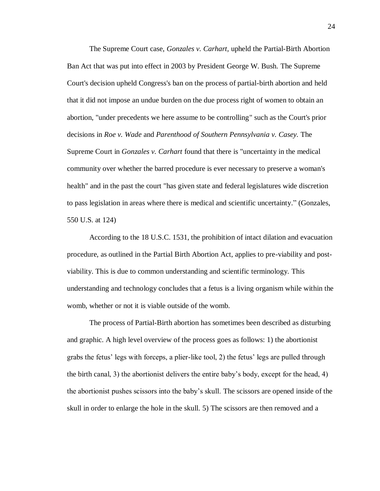The Supreme Court case, *Gonzales v. Carhart,* upheld the Partial-Birth Abortion Ban Act that was put into effect in 2003 by President George W. Bush. The Supreme Court's decision upheld Congress's ban on the process of partial-birth abortion and held that it did not impose an undue burden on the due process right of women to obtain an abortion, "under precedents we here assume to be controlling" such as the Court's prior decisions in *Roe v. Wade* and *Parenthood of Southern Pennsylvania v. Casey.* The Supreme Court in *Gonzales v. Carhart* found that there is "uncertainty in the medical community over whether the barred procedure is ever necessary to preserve a woman's health" and in the past the court "has given state and federal legislatures wide discretion to pass legislation in areas where there is medical and scientific uncertainty." (Gonzales, 550 U.S. at 124)

According to the 18 U.S.C. 1531, the prohibition of intact dilation and evacuation procedure, as outlined in the Partial Birth Abortion Act, applies to pre-viability and postviability. This is due to common understanding and scientific terminology. This understanding and technology concludes that a fetus is a living organism while within the womb, whether or not it is viable outside of the womb.

The process of Partial-Birth abortion has sometimes been described as disturbing and graphic. A high level overview of the process goes as follows: 1) the abortionist grabs the fetus' legs with forceps, a plier-like tool, 2) the fetus' legs are pulled through the birth canal, 3) the abortionist delivers the entire baby's body, except for the head, 4) the abortionist pushes scissors into the baby's skull. The scissors are opened inside of the skull in order to enlarge the hole in the skull. 5) The scissors are then removed and a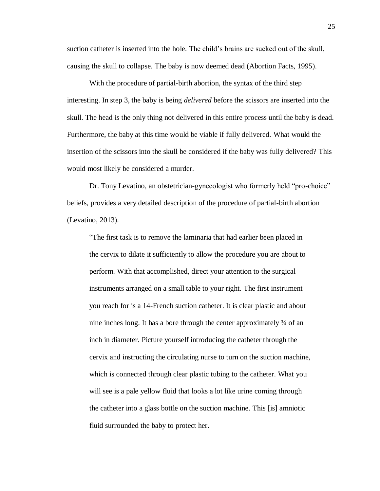suction catheter is inserted into the hole. The child's brains are sucked out of the skull, causing the skull to collapse. The baby is now deemed dead (Abortion Facts, 1995).

With the procedure of partial-birth abortion, the syntax of the third step interesting. In step 3, the baby is being *delivered* before the scissors are inserted into the skull. The head is the only thing not delivered in this entire process until the baby is dead. Furthermore, the baby at this time would be viable if fully delivered. What would the insertion of the scissors into the skull be considered if the baby was fully delivered? This would most likely be considered a murder.

Dr. Tony Levatino, an obstetrician-gynecologist who formerly held "pro-choice" beliefs, provides a very detailed description of the procedure of partial-birth abortion (Levatino, 2013).

"The first task is to remove the laminaria that had earlier been placed in the cervix to dilate it sufficiently to allow the procedure you are about to perform. With that accomplished, direct your attention to the surgical instruments arranged on a small table to your right. The first instrument you reach for is a 14-French suction catheter. It is clear plastic and about nine inches long. It has a bore through the center approximately ¾ of an inch in diameter. Picture yourself introducing the catheter through the cervix and instructing the circulating nurse to turn on the suction machine, which is connected through clear plastic tubing to the catheter. What you will see is a pale yellow fluid that looks a lot like urine coming through the catheter into a glass bottle on the suction machine. This [is] amniotic fluid surrounded the baby to protect her.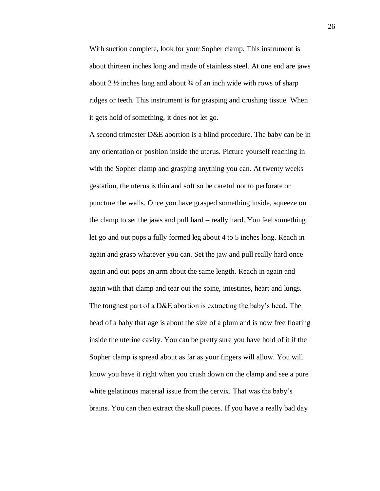With suction complete, look for your Sopher clamp. This instrument is about thirteen inches long and made of stainless steel. At one end are jaws about 2  $\frac{1}{2}$  inches long and about  $\frac{3}{4}$  of an inch wide with rows of sharp ridges or teeth. This instrument is for grasping and crushing tissue. When it gets hold of something, it does not let go.

A second trimester D&E abortion is a blind procedure. The baby can be in any orientation or position inside the uterus. Picture yourself reaching in with the Sopher clamp and grasping anything you can. At twenty weeks gestation, the uterus is thin and soft so be careful not to perforate or puncture the walls. Once you have grasped something inside, squeeze on the clamp to set the jaws and pull hard – really hard. You feel something let go and out pops a fully formed leg about 4 to 5 inches long. Reach in again and grasp whatever you can. Set the jaw and pull really hard once again and out pops an arm about the same length. Reach in again and again with that clamp and tear out the spine, intestines, heart and lungs. The toughest part of a D&E abortion is extracting the baby's head. The head of a baby that age is about the size of a plum and is now free floating inside the uterine cavity. You can be pretty sure you have hold of it if the Sopher clamp is spread about as far as your fingers will allow. You will know you have it right when you crush down on the clamp and see a pure white gelatinous material issue from the cervix. That was the baby's brains. You can then extract the skull pieces. If you have a really bad day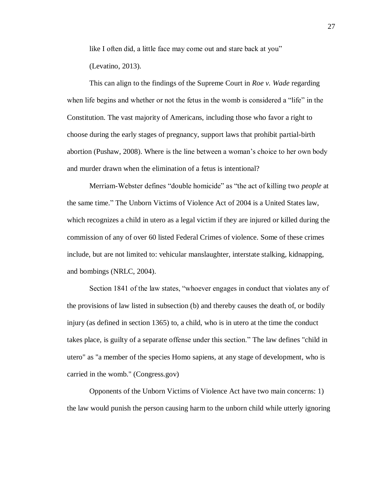like I often did, a little face may come out and stare back at you" (Levatino, 2013).

This can align to the findings of the Supreme Court in *Roe v. Wade* regarding when life begins and whether or not the fetus in the womb is considered a "life" in the Constitution. The vast majority of Americans, including those who favor a right to choose during the early stages of pregnancy, support laws that prohibit partial-birth abortion (Pushaw, 2008). Where is the line between a woman's choice to her own body and murder drawn when the elimination of a fetus is intentional?

Merriam-Webster defines "double homicide" as "the act of killing two *people* at the same time." The Unborn Victims of Violence Act of 2004 is a United States law, which recognizes a child in utero as a legal victim if they are injured or killed during the commission of any of over 60 listed Federal Crimes of violence. Some of these crimes include, but are not limited to: vehicular manslaughter, interstate stalking, kidnapping, and bombings (NRLC, 2004).

Section 1841 of the law states, "whoever engages in conduct that violates any of the provisions of law listed in subsection (b) and thereby causes the death of, or bodily injury (as defined in section 1365) to, a child, who is in utero at the time the conduct takes place, is guilty of a separate offense under this section." The law defines "child in utero" as "a member of the species Homo sapiens, at any stage of development, who is carried in the womb." (Congress.gov)

Opponents of the Unborn Victims of Violence Act have two main concerns: 1) the law would punish the person causing harm to the unborn child while utterly ignoring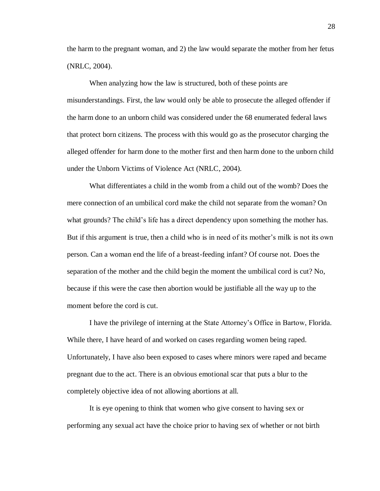the harm to the pregnant woman, and 2) the law would separate the mother from her fetus (NRLC, 2004).

When analyzing how the law is structured, both of these points are misunderstandings. First, the law would only be able to prosecute the alleged offender if the harm done to an unborn child was considered under the 68 enumerated federal laws that protect born citizens. The process with this would go as the prosecutor charging the alleged offender for harm done to the mother first and then harm done to the unborn child under the Unborn Victims of Violence Act (NRLC, 2004).

What differentiates a child in the womb from a child out of the womb? Does the mere connection of an umbilical cord make the child not separate from the woman? On what grounds? The child's life has a direct dependency upon something the mother has. But if this argument is true, then a child who is in need of its mother's milk is not its own person. Can a woman end the life of a breast-feeding infant? Of course not. Does the separation of the mother and the child begin the moment the umbilical cord is cut? No, because if this were the case then abortion would be justifiable all the way up to the moment before the cord is cut.

I have the privilege of interning at the State Attorney's Office in Bartow, Florida. While there, I have heard of and worked on cases regarding women being raped. Unfortunately, I have also been exposed to cases where minors were raped and became pregnant due to the act. There is an obvious emotional scar that puts a blur to the completely objective idea of not allowing abortions at all.

It is eye opening to think that women who give consent to having sex or performing any sexual act have the choice prior to having sex of whether or not birth 28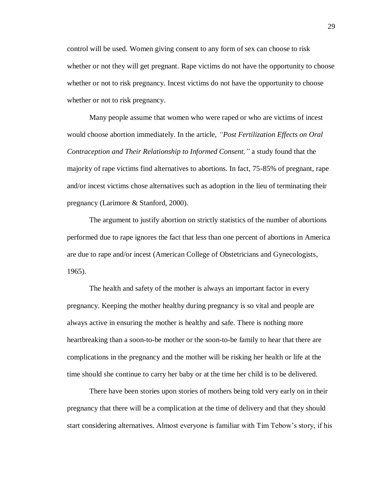control will be used. Women giving consent to any form of sex can choose to risk whether or not they will get pregnant. Rape victims do not have the opportunity to choose whether or not to risk pregnancy. Incest victims do not have the opportunity to choose whether or not to risk pregnancy.

Many people assume that women who were raped or who are victims of incest would choose abortion immediately. In the article, *"Post Fertilization Effects on Oral Contraception and Their Relationship to Informed Consent,"* a study found that the majority of rape victims find alternatives to abortions. In fact, 75-85% of pregnant, rape and/or incest victims chose alternatives such as adoption in the lieu of terminating their pregnancy (Larimore & Stanford, 2000).

The argument to justify abortion on strictly statistics of the number of abortions performed due to rape ignores the fact that less than one percent of abortions in America are due to rape and/or incest (American College of Obstetricians and Gynecologists, 1965).

The health and safety of the mother is always an important factor in every pregnancy. Keeping the mother healthy during pregnancy is so vital and people are always active in ensuring the mother is healthy and safe. There is nothing more heartbreaking than a soon-to-be mother or the soon-to-be family to hear that there are complications in the pregnancy and the mother will be risking her health or life at the time should she continue to carry her baby or at the time her child is to be delivered.

There have been stories upon stories of mothers being told very early on in their pregnancy that there will be a complication at the time of delivery and that they should start considering alternatives. Almost everyone is familiar with Tim Tebow's story, if his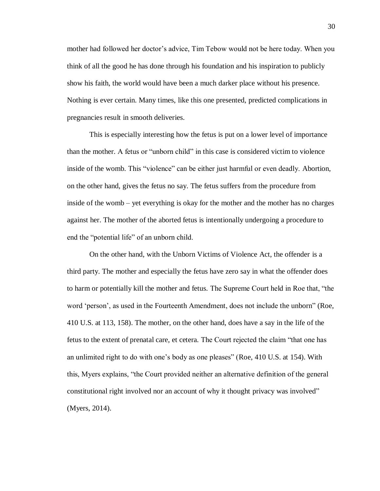mother had followed her doctor's advice, Tim Tebow would not be here today. When you think of all the good he has done through his foundation and his inspiration to publicly show his faith, the world would have been a much darker place without his presence. Nothing is ever certain. Many times, like this one presented, predicted complications in pregnancies result in smooth deliveries.

This is especially interesting how the fetus is put on a lower level of importance than the mother. A fetus or "unborn child" in this case is considered victim to violence inside of the womb. This "violence" can be either just harmful or even deadly. Abortion, on the other hand, gives the fetus no say. The fetus suffers from the procedure from inside of the womb – yet everything is okay for the mother and the mother has no charges against her. The mother of the aborted fetus is intentionally undergoing a procedure to end the "potential life" of an unborn child.

On the other hand, with the Unborn Victims of Violence Act, the offender is a third party. The mother and especially the fetus have zero say in what the offender does to harm or potentially kill the mother and fetus. The Supreme Court held in Roe that, "the word 'person', as used in the Fourteenth Amendment, does not include the unborn" (Roe, 410 U.S. at 113, 158). The mother, on the other hand, does have a say in the life of the fetus to the extent of prenatal care, et cetera. The Court rejected the claim "that one has an unlimited right to do with one's body as one pleases" (Roe, 410 U.S. at 154). With this, Myers explains, "the Court provided neither an alternative definition of the general constitutional right involved nor an account of why it thought privacy was involved" (Myers, 2014).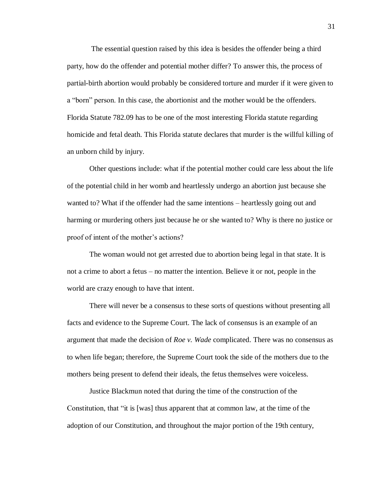The essential question raised by this idea is besides the offender being a third party, how do the offender and potential mother differ? To answer this, the process of partial-birth abortion would probably be considered torture and murder if it were given to a "born" person. In this case, the abortionist and the mother would be the offenders. Florida Statute 782.09 has to be one of the most interesting Florida statute regarding homicide and fetal death. This Florida statute declares that murder is the willful killing of an unborn child by injury.

Other questions include: what if the potential mother could care less about the life of the potential child in her womb and heartlessly undergo an abortion just because she wanted to? What if the offender had the same intentions – heartlessly going out and harming or murdering others just because he or she wanted to? Why is there no justice or proof of intent of the mother's actions?

The woman would not get arrested due to abortion being legal in that state. It is not a crime to abort a fetus – no matter the intention. Believe it or not, people in the world are crazy enough to have that intent.

There will never be a consensus to these sorts of questions without presenting all facts and evidence to the Supreme Court. The lack of consensus is an example of an argument that made the decision of *Roe v. Wade* complicated. There was no consensus as to when life began; therefore, the Supreme Court took the side of the mothers due to the mothers being present to defend their ideals, the fetus themselves were voiceless.

Justice Blackmun noted that during the time of the construction of the Constitution, that "it is [was] thus apparent that at common law, at the time of the adoption of our Constitution, and throughout the major portion of the 19th century,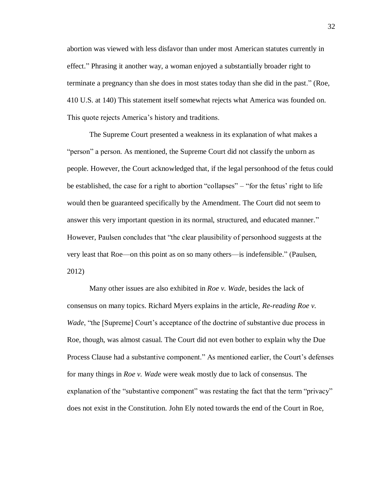abortion was viewed with less disfavor than under most American statutes currently in effect." Phrasing it another way, a woman enjoyed a substantially broader right to terminate a pregnancy than she does in most states today than she did in the past." (Roe*,*  410 U.S. at 140) This statement itself somewhat rejects what America was founded on. This quote rejects America's history and traditions.

The Supreme Court presented a weakness in its explanation of what makes a "person" a person. As mentioned, the Supreme Court did not classify the unborn as people. However, the Court acknowledged that, if the legal personhood of the fetus could be established, the case for a right to abortion "collapses" – "for the fetus' right to life would then be guaranteed specifically by the Amendment. The Court did not seem to answer this very important question in its normal, structured, and educated manner." However, Paulsen concludes that "the clear plausibility of personhood suggests at the very least that Roe—on this point as on so many others—is indefensible." (Paulsen, 2012)

Many other issues are also exhibited in *Roe v. Wade*, besides the lack of consensus on many topics. Richard Myers explains in the article, *Re-reading Roe v. Wade*, "the [Supreme] Court's acceptance of the doctrine of substantive due process in Roe, though, was almost casual. The Court did not even bother to explain why the Due Process Clause had a substantive component." As mentioned earlier, the Court's defenses for many things in *Roe v. Wade* were weak mostly due to lack of consensus. The explanation of the "substantive component" was restating the fact that the term "privacy" does not exist in the Constitution. John Ely noted towards the end of the Court in Roe,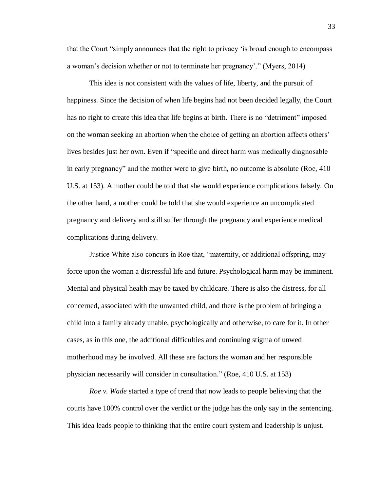that the Court "simply announces that the right to privacy 'is broad enough to encompass a woman's decision whether or not to terminate her pregnancy'." (Myers, 2014)

This idea is not consistent with the values of life, liberty, and the pursuit of happiness. Since the decision of when life begins had not been decided legally, the Court has no right to create this idea that life begins at birth. There is no "detriment" imposed on the woman seeking an abortion when the choice of getting an abortion affects others' lives besides just her own. Even if "specific and direct harm was medically diagnosable in early pregnancy" and the mother were to give birth, no outcome is absolute (Roe, 410 U.S. at 153). A mother could be told that she would experience complications falsely. On the other hand, a mother could be told that she would experience an uncomplicated pregnancy and delivery and still suffer through the pregnancy and experience medical complications during delivery.

Justice White also concurs in Roe that, "maternity, or additional offspring, may force upon the woman a distressful life and future. Psychological harm may be imminent. Mental and physical health may be taxed by childcare. There is also the distress, for all concerned, associated with the unwanted child, and there is the problem of bringing a child into a family already unable, psychologically and otherwise, to care for it. In other cases, as in this one, the additional difficulties and continuing stigma of unwed motherhood may be involved. All these are factors the woman and her responsible physician necessarily will consider in consultation." (Roe, 410 U.S. at 153)

*Roe v. Wade* started a type of trend that now leads to people believing that the courts have 100% control over the verdict or the judge has the only say in the sentencing. This idea leads people to thinking that the entire court system and leadership is unjust.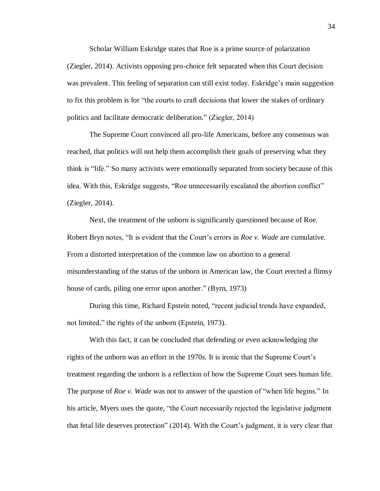Scholar William Eskridge states that Roe is a prime source of polarization (Ziegler, 2014). Activists opposing pro-choice felt separated when this Court decision was prevalent. This feeling of separation can still exist today. Eskridge's main suggestion to fix this problem is for "the courts to craft decisions that lower the stakes of ordinary politics and facilitate democratic deliberation." (Ziegler, 2014)

The Supreme Court convinced all pro-life Americans, before any consensus was reached, that politics will not help them accomplish their goals of preserving what they think is "life." So many activists were emotionally separated from society because of this idea. With this, Eskridge suggests, "Roe unnecessarily escalated the abortion conflict" (Ziegler, 2014).

Next, the treatment of the unborn is significantly questioned because of Roe. Robert Bryn notes, "It is evident that the Court's errors in *Roe v. Wade* are cumulative. From a distorted interpretation of the common law on abortion to a general misunderstanding of the status of the unborn in American law, the Court erected a flimsy house of cards, piling one error upon another." (Byrn, 1973)

During this time, Richard Epstein noted, "recent judicial trends have expanded, not limited," the rights of the unborn (Epstein, 1973).

With this fact, it can be concluded that defending or even acknowledging the rights of the unborn was an effort in the 1970s. It is ironic that the Supreme Court's treatment regarding the unborn is a reflection of how the Supreme Court sees human life. The purpose of *Roe v. Wade* was not to answer of the question of "when life begins." In his article, Myers uses the quote, "the Court necessarily rejected the legislative judgment that fetal life deserves protection" (2014). With the Court's judgment, it is very clear that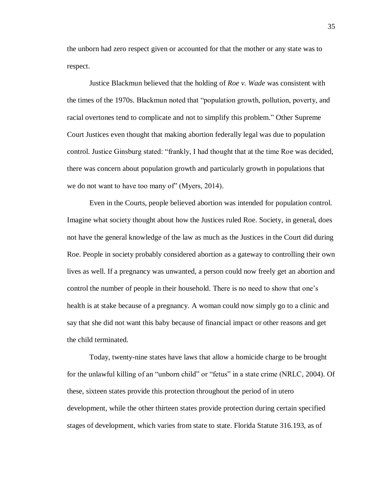the unborn had zero respect given or accounted for that the mother or any state was to respect.

Justice Blackmun believed that the holding of *Roe v. Wade* was consistent with the times of the 1970s. Blackmun noted that "population growth, pollution, poverty, and racial overtones tend to complicate and not to simplify this problem." Other Supreme Court Justices even thought that making abortion federally legal was due to population control. Justice Ginsburg stated: "frankly, I had thought that at the time Roe was decided, there was concern about population growth and particularly growth in populations that we do not want to have too many of" (Myers, 2014).

Even in the Courts, people believed abortion was intended for population control. Imagine what society thought about how the Justices ruled Roe. Society, in general, does not have the general knowledge of the law as much as the Justices in the Court did during Roe. People in society probably considered abortion as a gateway to controlling their own lives as well. If a pregnancy was unwanted, a person could now freely get an abortion and control the number of people in their household. There is no need to show that one's health is at stake because of a pregnancy. A woman could now simply go to a clinic and say that she did not want this baby because of financial impact or other reasons and get the child terminated.

Today, twenty-nine states have laws that allow a homicide charge to be brought for the unlawful killing of an "unborn child" or "fetus" in a state crime (NRLC, 2004). Of these, sixteen states provide this protection throughout the period of in utero development, while the other thirteen states provide protection during certain specified stages of development, which varies from state to state. Florida Statute 316.193, as of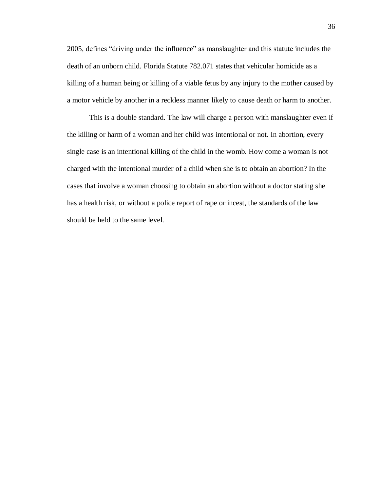2005, defines "driving under the influence" as manslaughter and this statute includes the death of an unborn child. Florida Statute 782.071 states that vehicular homicide as a killing of a human being or killing of a viable fetus by any injury to the mother caused by a motor vehicle by another in a reckless manner likely to cause death or harm to another.

This is a double standard. The law will charge a person with manslaughter even if the killing or harm of a woman and her child was intentional or not. In abortion, every single case is an intentional killing of the child in the womb. How come a woman is not charged with the intentional murder of a child when she is to obtain an abortion? In the cases that involve a woman choosing to obtain an abortion without a doctor stating she has a health risk, or without a police report of rape or incest, the standards of the law should be held to the same level.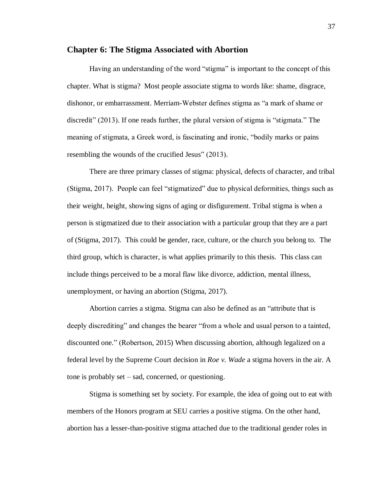#### **Chapter 6: The Stigma Associated with Abortion**

Having an understanding of the word "stigma" is important to the concept of this chapter. What is stigma? Most people associate stigma to words like: shame, disgrace, dishonor, or embarrassment. Merriam-Webster defines stigma as "a mark of shame or discredit" (2013). If one reads further, the plural version of stigma is "stigmata." The meaning of stigmata, a Greek word, is fascinating and ironic, "bodily marks or pains resembling the wounds of the crucified Jesus" (2013).

There are three primary classes of stigma: physical, defects of character, and tribal (Stigma, 2017). People can feel "stigmatized" due to physical deformities, things such as their weight, height, showing signs of aging or disfigurement. Tribal stigma is when a person is stigmatized due to their association with a particular group that they are a part of (Stigma, 2017). This could be gender, race, culture, or the church you belong to. The third group, which is character, is what applies primarily to this thesis. This class can include things perceived to be a moral flaw like divorce, addiction, mental illness, unemployment, or having an abortion (Stigma, 2017).

Abortion carries a stigma. Stigma can also be defined as an "attribute that is deeply discrediting" and changes the bearer "from a whole and usual person to a tainted, discounted one." (Robertson, 2015) When discussing abortion, although legalized on a federal level by the Supreme Court decision in *Roe v. Wade* a stigma hovers in the air. A tone is probably set – sad, concerned, or questioning.

Stigma is something set by society. For example, the idea of going out to eat with members of the Honors program at SEU carries a positive stigma. On the other hand, abortion has a lesser-than-positive stigma attached due to the traditional gender roles in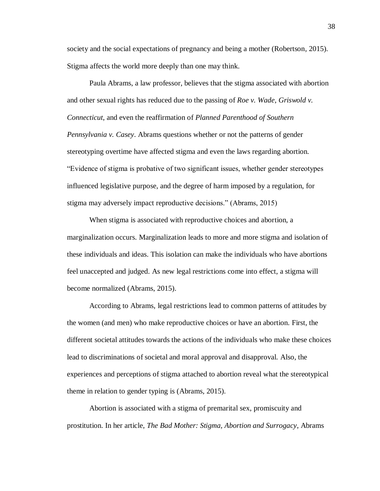society and the social expectations of pregnancy and being a mother (Robertson, 2015). Stigma affects the world more deeply than one may think.

Paula Abrams, a law professor, believes that the stigma associated with abortion and other sexual rights has reduced due to the passing of *Roe v. Wade*, *Griswold v. Connecticut*, and even the reaffirmation of *Planned Parenthood of Southern Pennsylvania v. Casey*. Abrams questions whether or not the patterns of gender stereotyping overtime have affected stigma and even the laws regarding abortion. "Evidence of stigma is probative of two significant issues, whether gender stereotypes influenced legislative purpose, and the degree of harm imposed by a regulation, for stigma may adversely impact reproductive decisions." (Abrams, 2015)

When stigma is associated with reproductive choices and abortion, a marginalization occurs. Marginalization leads to more and more stigma and isolation of these individuals and ideas. This isolation can make the individuals who have abortions feel unaccepted and judged. As new legal restrictions come into effect, a stigma will become normalized (Abrams, 2015).

According to Abrams, legal restrictions lead to common patterns of attitudes by the women (and men) who make reproductive choices or have an abortion. First, the different societal attitudes towards the actions of the individuals who make these choices lead to discriminations of societal and moral approval and disapproval. Also, the experiences and perceptions of stigma attached to abortion reveal what the stereotypical theme in relation to gender typing is (Abrams, 2015).

Abortion is associated with a stigma of premarital sex, promiscuity and prostitution. In her article, *The Bad Mother: Stigma, Abortion and Surrogacy*, Abrams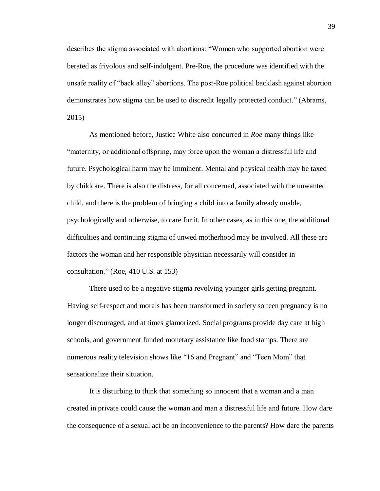describes the stigma associated with abortions: "Women who supported abortion were berated as frivolous and self-indulgent. Pre-Roe, the procedure was identified with the unsafe reality of "back alley" abortions. The post-Roe political backlash against abortion demonstrates how stigma can be used to discredit legally protected conduct." (Abrams, 2015)

As mentioned before, Justice White also concurred in *Roe* many things like "maternity, or additional offspring, may force upon the woman a distressful life and future. Psychological harm may be imminent. Mental and physical health may be taxed by childcare. There is also the distress, for all concerned, associated with the unwanted child, and there is the problem of bringing a child into a family already unable, psychologically and otherwise, to care for it. In other cases, as in this one, the additional difficulties and continuing stigma of unwed motherhood may be involved. All these are factors the woman and her responsible physician necessarily will consider in consultation." (Roe, 410 U.S. at 153)

There used to be a negative stigma revolving younger girls getting pregnant. Having self-respect and morals has been transformed in society so teen pregnancy is no longer discouraged, and at times glamorized. Social programs provide day care at high schools, and government funded monetary assistance like food stamps. There are numerous reality television shows like "16 and Pregnant" and "Teen Mom" that sensationalize their situation.

It is disturbing to think that something so innocent that a woman and a man created in private could cause the woman and man a distressful life and future. How dare the consequence of a sexual act be an inconvenience to the parents? How dare the parents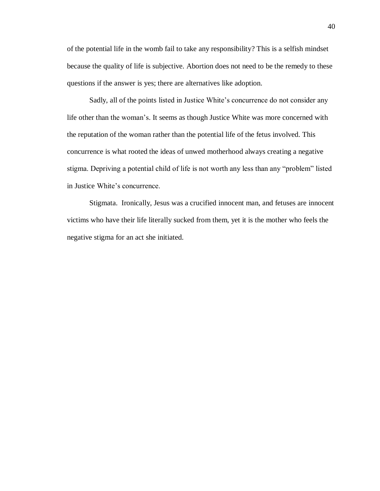of the potential life in the womb fail to take any responsibility? This is a selfish mindset because the quality of life is subjective. Abortion does not need to be the remedy to these questions if the answer is yes; there are alternatives like adoption.

Sadly, all of the points listed in Justice White's concurrence do not consider any life other than the woman's. It seems as though Justice White was more concerned with the reputation of the woman rather than the potential life of the fetus involved. This concurrence is what rooted the ideas of unwed motherhood always creating a negative stigma. Depriving a potential child of life is not worth any less than any "problem" listed in Justice White's concurrence.

Stigmata. Ironically, Jesus was a crucified innocent man, and fetuses are innocent victims who have their life literally sucked from them, yet it is the mother who feels the negative stigma for an act she initiated.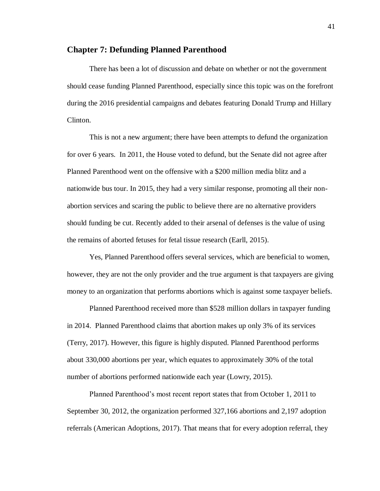#### **Chapter 7: Defunding Planned Parenthood**

There has been a lot of discussion and debate on whether or not the government should cease funding Planned Parenthood, especially since this topic was on the forefront during the 2016 presidential campaigns and debates featuring Donald Trump and Hillary Clinton.

This is not a new argument; there have been attempts to defund the organization for over 6 years. In 2011, the House voted to defund, but the Senate did not agree after Planned Parenthood went on the offensive with a \$200 million media blitz and a nationwide bus tour. In 2015, they had a very similar response, promoting all their nonabortion services and scaring the public to believe there are no alternative providers should funding be cut. Recently added to their arsenal of defenses is the value of using the remains of aborted fetuses for fetal tissue research (Earll, 2015).

Yes, Planned Parenthood offers several services, which are beneficial to women, however, they are not the only provider and the true argument is that taxpayers are giving money to an organization that performs abortions which is against some taxpayer beliefs.

Planned Parenthood received more than \$528 million dollars in taxpayer funding in 2014. Planned Parenthood claims that abortion makes up only 3% of its services (Terry, 2017). However, this figure is highly disputed. Planned Parenthood performs about 330,000 abortions per year, which equates to approximately 30% of the total number of abortions performed nationwide each year (Lowry, 2015).

Planned Parenthood's most recent report states that from October 1, 2011 to September 30, 2012, the organization performed 327,166 abortions and 2,197 adoption referrals (American Adoptions, 2017). That means that for every adoption referral, they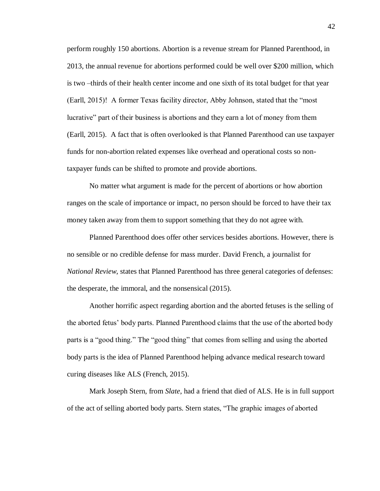perform roughly 150 abortions. Abortion is a revenue stream for Planned Parenthood, in 2013, the annual revenue for abortions performed could be well over \$200 million, which is two –thirds of their health center income and one sixth of its total budget for that year (Earll, 2015)! A former Texas facility director, Abby Johnson, stated that the "most lucrative" part of their business is abortions and they earn a lot of money from them (Earll, 2015). A fact that is often overlooked is that Planned Parenthood can use taxpayer funds for non-abortion related expenses like overhead and operational costs so nontaxpayer funds can be shifted to promote and provide abortions.

No matter what argument is made for the percent of abortions or how abortion ranges on the scale of importance or impact, no person should be forced to have their tax money taken away from them to support something that they do not agree with.

Planned Parenthood does offer other services besides abortions. However, there is no sensible or no credible defense for mass murder. David French, a journalist for *National Review*, states that Planned Parenthood has three general categories of defenses: the desperate, the immoral, and the nonsensical (2015).

Another horrific aspect regarding abortion and the aborted fetuses is the selling of the aborted fetus' body parts. Planned Parenthood claims that the use of the aborted body parts is a "good thing." The "good thing" that comes from selling and using the aborted body parts is the idea of Planned Parenthood helping advance medical research toward curing diseases like ALS (French, 2015).

Mark Joseph Stern, from *Slate*, had a friend that died of ALS. He is in full support of the act of selling aborted body parts. Stern states, "The graphic images of aborted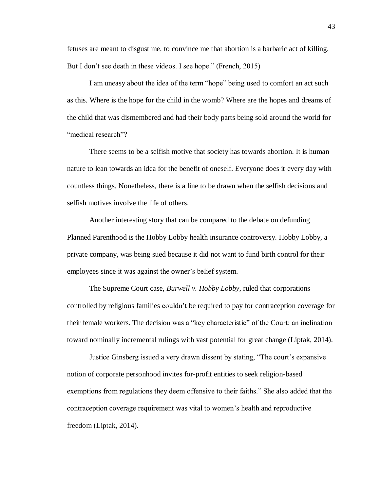fetuses are meant to disgust me, to convince me that abortion is a barbaric act of killing. But I don't see death in these videos. I see hope." (French, 2015)

I am uneasy about the idea of the term "hope" being used to comfort an act such as this. Where is the hope for the child in the womb? Where are the hopes and dreams of the child that was dismembered and had their body parts being sold around the world for "medical research"?

There seems to be a selfish motive that society has towards abortion. It is human nature to lean towards an idea for the benefit of oneself. Everyone does it every day with countless things. Nonetheless, there is a line to be drawn when the selfish decisions and selfish motives involve the life of others.

Another interesting story that can be compared to the debate on defunding Planned Parenthood is the Hobby Lobby health insurance controversy. Hobby Lobby, a private company, was being sued because it did not want to fund birth control for their employees since it was against the owner's belief system.

The Supreme Court case, *Burwell v. Hobby Lobby*, ruled that corporations controlled by religious families couldn't be required to pay for contraception coverage for their female workers. The decision was a "key characteristic" of the Court: an inclination toward nominally incremental rulings with vast potential for great change (Liptak, 2014).

Justice Ginsberg issued a very drawn dissent by stating, "The court's expansive notion of corporate personhood invites for-profit entities to seek religion-based exemptions from regulations they deem offensive to their faiths." She also added that the contraception coverage requirement was vital to women's health and reproductive freedom (Liptak, 2014).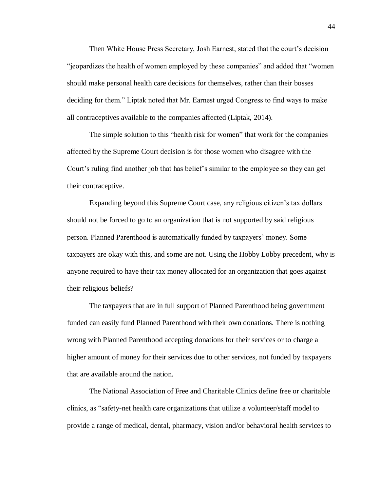Then White House Press Secretary, Josh Earnest, stated that the court's decision "jeopardizes the health of women employed by these companies" and added that "women should make personal health care decisions for themselves, rather than their bosses deciding for them." Liptak noted that Mr. Earnest urged Congress to find ways to make all contraceptives available to the companies affected (Liptak, 2014).

The simple solution to this "health risk for women" that work for the companies affected by the Supreme Court decision is for those women who disagree with the Court's ruling find another job that has belief's similar to the employee so they can get their contraceptive.

Expanding beyond this Supreme Court case, any religious citizen's tax dollars should not be forced to go to an organization that is not supported by said religious person. Planned Parenthood is automatically funded by taxpayers' money. Some taxpayers are okay with this, and some are not. Using the Hobby Lobby precedent, why is anyone required to have their tax money allocated for an organization that goes against their religious beliefs?

The taxpayers that are in full support of Planned Parenthood being government funded can easily fund Planned Parenthood with their own donations. There is nothing wrong with Planned Parenthood accepting donations for their services or to charge a higher amount of money for their services due to other services, not funded by taxpayers that are available around the nation.

The National Association of Free and Charitable Clinics define free or charitable clinics, as "safety-net health care organizations that utilize a volunteer/staff model to provide a range of medical, dental, pharmacy, vision and/or behavioral health services to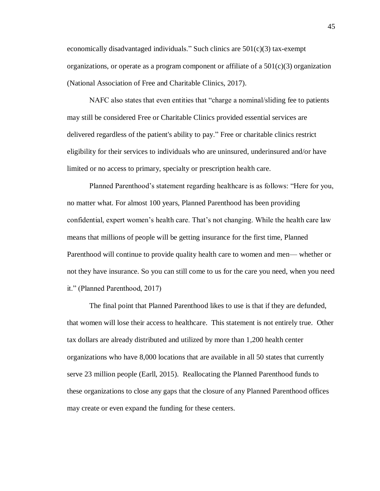economically disadvantaged individuals." Such clinics are  $501(c)(3)$  tax-exempt organizations, or operate as a program component or affiliate of a  $501(c)(3)$  organization (National Association of Free and Charitable Clinics, 2017).

NAFC also states that even entities that "charge a nominal/sliding fee to patients may still be considered Free or Charitable Clinics provided essential services are delivered regardless of the patient's ability to pay." Free or charitable clinics restrict eligibility for their services to individuals who are uninsured, underinsured and/or have limited or no access to primary, specialty or prescription health care.

Planned Parenthood's statement regarding healthcare is as follows: "Here for you, no matter what. For almost 100 years, Planned Parenthood has been providing confidential, expert women's health care. That's not changing. While the health care law means that millions of people will be getting insurance for the first time, Planned Parenthood will continue to provide quality health care to women and men— whether or not they have insurance. So you can still come to us for the care you need, when you need it." (Planned Parenthood, 2017)

The final point that Planned Parenthood likes to use is that if they are defunded, that women will lose their access to healthcare. This statement is not entirely true. Other tax dollars are already distributed and utilized by more than 1,200 health center organizations who have 8,000 locations that are available in all 50 states that currently serve 23 million people (Earll, 2015). Reallocating the Planned Parenthood funds to these organizations to close any gaps that the closure of any Planned Parenthood offices may create or even expand the funding for these centers.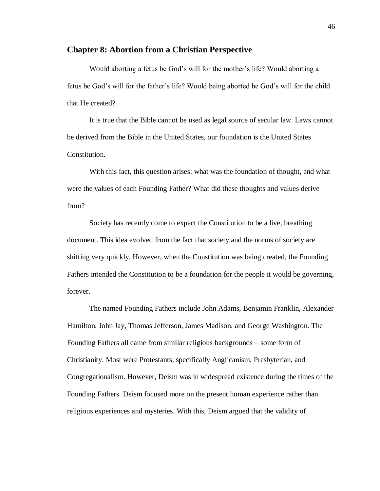#### **Chapter 8: Abortion from a Christian Perspective**

Would aborting a fetus be God's will for the mother's life? Would aborting a fetus be God's will for the father's life? Would being aborted be God's will for the child that He created?

It is true that the Bible cannot be used as legal source of secular law. Laws cannot be derived from the Bible in the United States, our foundation is the United States Constitution.

With this fact, this question arises: what was the foundation of thought, and what were the values of each Founding Father? What did these thoughts and values derive from?

Society has recently come to expect the Constitution to be a live, breathing document. This idea evolved from the fact that society and the norms of society are shifting very quickly. However, when the Constitution was being created, the Founding Fathers intended the Constitution to be a foundation for the people it would be governing, forever.

The named Founding Fathers include John Adams, Benjamin Franklin, Alexander Hamilton, John Jay, Thomas Jefferson, James Madison, and George Washington. The Founding Fathers all came from similar religious backgrounds – some form of Christianity. Most were Protestants; specifically Anglicanism, Presbyterian, and Congregationalism. However, Deism was in widespread existence during the times of the Founding Fathers. Deism focused more on the present human experience rather than religious experiences and mysteries. With this, Deism argued that the validity of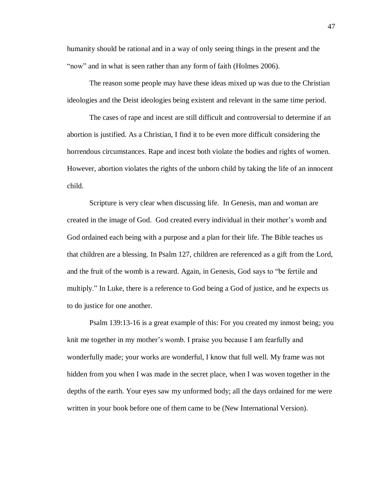humanity should be rational and in a way of only seeing things in the present and the "now" and in what is seen rather than any form of faith (Holmes 2006).

The reason some people may have these ideas mixed up was due to the Christian ideologies and the Deist ideologies being existent and relevant in the same time period.

The cases of rape and incest are still difficult and controversial to determine if an abortion is justified. As a Christian, I find it to be even more difficult considering the horrendous circumstances. Rape and incest both violate the bodies and rights of women. However, abortion violates the rights of the unborn child by taking the life of an innocent child.

Scripture is very clear when discussing life. In Genesis, man and woman are created in the image of God. God created every individual in their mother's womb and God ordained each being with a purpose and a plan for their life. The Bible teaches us that children are a blessing. In Psalm 127, children are referenced as a gift from the Lord, and the fruit of the womb is a reward. Again, in Genesis, God says to "be fertile and multiply." In Luke, there is a reference to God being a God of justice, and he expects us to do justice for one another.

Psalm 139:13-16 is a great example of this: For you created my inmost being; you knit me together in my mother's womb. I praise you because I am fearfully and wonderfully made; your works are wonderful, I know that full well. My frame was not hidden from you when I was made in the secret place, when I was woven together in the depths of the earth. Your eyes saw my unformed body; all the days ordained for me were written in your book before one of them came to be (New International Version).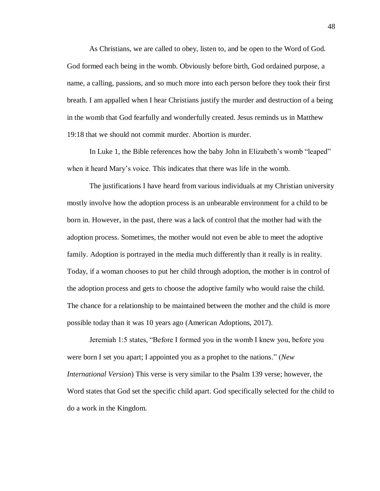As Christians, we are called to obey, listen to, and be open to the Word of God. God formed each being in the womb. Obviously before birth, God ordained purpose, a name, a calling, passions, and so much more into each person before they took their first breath. I am appalled when I hear Christians justify the murder and destruction of a being in the womb that God fearfully and wonderfully created. Jesus reminds us in Matthew 19:18 that we should not commit murder. Abortion is murder.

In Luke 1, the Bible references how the baby John in Elizabeth's womb "leaped" when it heard Mary's voice. This indicates that there was life in the womb.

The justifications I have heard from various individuals at my Christian university mostly involve how the adoption process is an unbearable environment for a child to be born in. However, in the past, there was a lack of control that the mother had with the adoption process. Sometimes, the mother would not even be able to meet the adoptive family. Adoption is portrayed in the media much differently than it really is in reality. Today, if a woman chooses to put her child through adoption, the mother is in control of the adoption process and gets to choose the adoptive family who would raise the child. The chance for a relationship to be maintained between the mother and the child is more possible today than it was 10 years ago (American Adoptions, 2017).

Jeremiah 1:5 states, "Before I formed you in the womb I knew you, before you were born I set you apart; I appointed you as a prophet to the nations." (*New International Version*) This verse is very similar to the Psalm 139 verse; however, the Word states that God set the specific child apart. God specifically selected for the child to do a work in the Kingdom.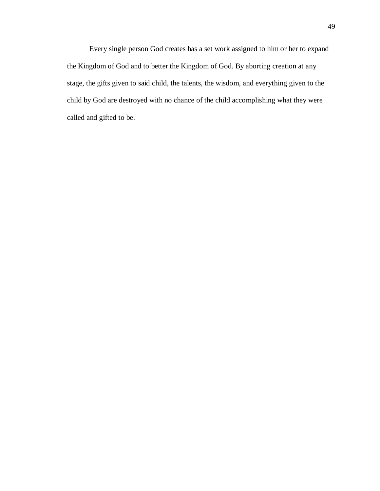Every single person God creates has a set work assigned to him or her to expand the Kingdom of God and to better the Kingdom of God. By aborting creation at any stage, the gifts given to said child, the talents, the wisdom, and everything given to the child by God are destroyed with no chance of the child accomplishing what they were called and gifted to be.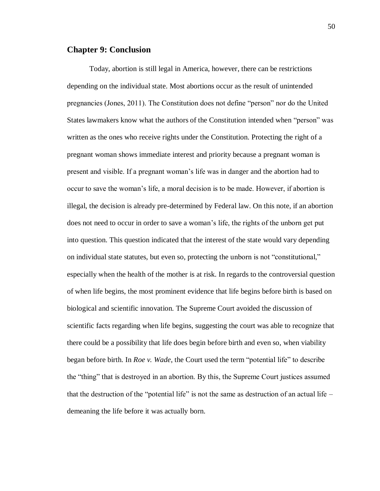#### **Chapter 9: Conclusion**

Today, abortion is still legal in America, however, there can be restrictions depending on the individual state. Most abortions occur as the result of unintended pregnancies (Jones, 2011). The Constitution does not define "person" nor do the United States lawmakers know what the authors of the Constitution intended when "person" was written as the ones who receive rights under the Constitution. Protecting the right of a pregnant woman shows immediate interest and priority because a pregnant woman is present and visible. If a pregnant woman's life was in danger and the abortion had to occur to save the woman's life, a moral decision is to be made. However, if abortion is illegal, the decision is already pre-determined by Federal law. On this note, if an abortion does not need to occur in order to save a woman's life, the rights of the unborn get put into question. This question indicated that the interest of the state would vary depending on individual state statutes, but even so, protecting the unborn is not "constitutional," especially when the health of the mother is at risk. In regards to the controversial question of when life begins, the most prominent evidence that life begins before birth is based on biological and scientific innovation. The Supreme Court avoided the discussion of scientific facts regarding when life begins, suggesting the court was able to recognize that there could be a possibility that life does begin before birth and even so, when viability began before birth. In *Roe v. Wade*, the Court used the term "potential life" to describe the "thing" that is destroyed in an abortion. By this, the Supreme Court justices assumed that the destruction of the "potential life" is not the same as destruction of an actual life  $$ demeaning the life before it was actually born.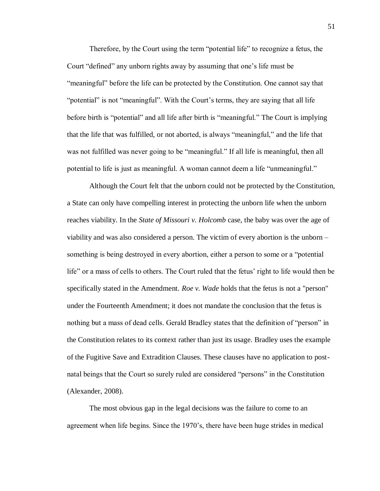Therefore, by the Court using the term "potential life" to recognize a fetus, the Court "defined" any unborn rights away by assuming that one's life must be "meaningful" before the life can be protected by the Constitution. One cannot say that "potential" is not "meaningful". With the Court's terms, they are saying that all life before birth is "potential" and all life after birth is "meaningful." The Court is implying that the life that was fulfilled, or not aborted, is always "meaningful," and the life that was not fulfilled was never going to be "meaningful." If all life is meaningful, then all potential to life is just as meaningful. A woman cannot deem a life "unmeaningful."

Although the Court felt that the unborn could not be protected by the Constitution, a State can only have compelling interest in protecting the unborn life when the unborn reaches viability. In the *State of Missouri v. Holcomb* case, the baby was over the age of viability and was also considered a person. The victim of every abortion is the unborn – something is being destroyed in every abortion, either a person to some or a "potential life" or a mass of cells to others. The Court ruled that the fetus' right to life would then be specifically stated in the Amendment. *Roe v. Wade* holds that the fetus is not a "person" under the Fourteenth Amendment; it does not mandate the conclusion that the fetus is nothing but a mass of dead cells. Gerald Bradley states that the definition of "person" in the Constitution relates to its context rather than just its usage. Bradley uses the example of the Fugitive Save and Extradition Clauses. These clauses have no application to postnatal beings that the Court so surely ruled are considered "persons" in the Constitution (Alexander, 2008).

The most obvious gap in the legal decisions was the failure to come to an agreement when life begins. Since the 1970's, there have been huge strides in medical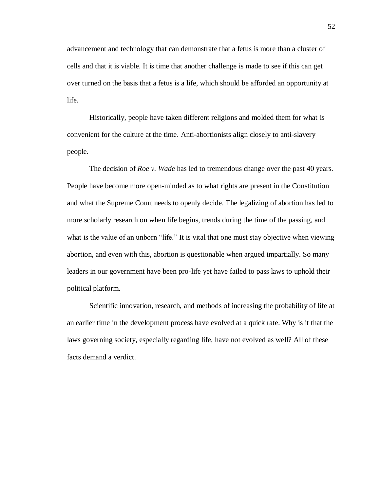advancement and technology that can demonstrate that a fetus is more than a cluster of cells and that it is viable. It is time that another challenge is made to see if this can get over turned on the basis that a fetus is a life, which should be afforded an opportunity at life.

Historically, people have taken different religions and molded them for what is convenient for the culture at the time. Anti-abortionists align closely to anti-slavery people.

The decision of *Roe v. Wade* has led to tremendous change over the past 40 years. People have become more open-minded as to what rights are present in the Constitution and what the Supreme Court needs to openly decide. The legalizing of abortion has led to more scholarly research on when life begins, trends during the time of the passing, and what is the value of an unborn "life." It is vital that one must stay objective when viewing abortion, and even with this, abortion is questionable when argued impartially. So many leaders in our government have been pro-life yet have failed to pass laws to uphold their political platform.

Scientific innovation, research, and methods of increasing the probability of life at an earlier time in the development process have evolved at a quick rate. Why is it that the laws governing society, especially regarding life, have not evolved as well? All of these facts demand a verdict.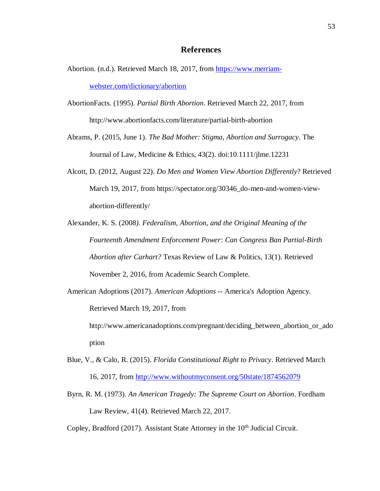#### **References**

- Abortion. (n.d.). Retrieved March 18, 2017, from [https://www.merriam](https://www.merriam-webster.com/dictionary/abortion)[webster.com/dictionary/abortion](https://www.merriam-webster.com/dictionary/abortion)
- AbortionFacts. (1995). *Partial Birth Abortion*. Retrieved March 22, 2017, from http://www.abortionfacts.com/literature/partial-birth-abortion
- Abrams, P. (2015, June 1). *The Bad Mother: Stigma, Abortion and Surrogacy*. The Journal of Law, Medicine & Ethics, 43(2). doi:10.1111/jlme.12231
- Alcott, D. (2012, August 22). *Do Men and Women View Abortion Differently*? Retrieved March 19, 2017, from https://spectator.org/30346\_do-men-and-women-viewabortion-differently/
- Alexander, K. S. (2008*). Federalism, Abortion, and the Original Meaning of the Fourteenth Amendment Enforcement Power: Can Congress Ban Partial-Birth Abortion after Carhart?* Texas Review of Law & Politics, 13(1). Retrieved November 2, 2016, from Academic Search Complete.
- American Adoptions (2017). *American Adoptions* -- America's Adoption Agency. Retrieved March 19, 2017, from http://www.americanadoptions.com/pregnant/deciding between abortion or ado

ption

- Blue, V., & Calo, R. (2015). *Florida Constitutional Right to Privacy*. Retrieved March 16, 2017, from<http://www.withoutmyconsent.org/50state/1874562079>
- Byrn, R. M. (1973). *An American Tragedy: The Supreme Court on Abortion*. Fordham Law Review, 41(4). Retrieved March 22, 2017.
- Copley, Bradford (2017). Assistant State Attorney in the 10<sup>th</sup> Judicial Circuit.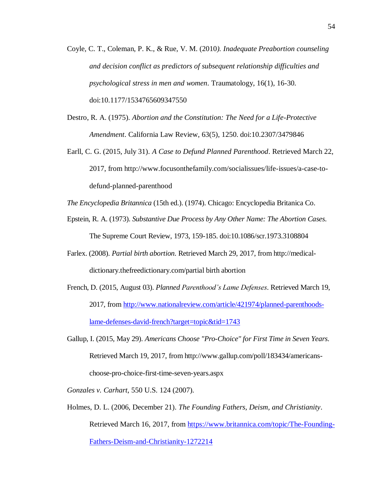- Coyle, C. T., Coleman, P. K., & Rue, V. M. (2010*). Inadequate Preabortion counseling and decision conflict as predictors of subsequent relationship difficulties and psychological stress in men and women*. Traumatology, 16(1), 16-30. doi:10.1177/1534765609347550
- Destro, R. A. (1975). *Abortion and the Constitution: The Need for a Life-Protective Amendment*. California Law Review, 63(5), 1250. doi:10.2307/3479846
- Earll, C. G. (2015, July 31). *A Case to Defund Planned Parenthood*. Retrieved March 22, 2017, from http://www.focusonthefamily.com/socialissues/life-issues/a-case-todefund-planned-parenthood

*The Encyclopedia Britannica* (15th ed.). (1974). Chicago: Encyclopedia Britanica Co.

- Epstein, R. A. (1973). *Substantive Due Process by Any Other Name: The Abortion Cases*. The Supreme Court Review, 1973, 159-185. doi:10.1086/scr.1973.3108804
- Farlex. (2008). *Partial birth abortion*. Retrieved March 29, 2017, from http://medicaldictionary.thefreedictionary.com/partial birth abortion
- French, D. (2015, August 03). *Planned Parenthood's Lame Defenses*. Retrieved March 19, 2017, fro[m http://www.nationalreview.com/article/421974/planned-parenthoods](http://www.nationalreview.com/article/421974/planned-parenthoods-lame-defenses-david-french?target=topic&tid=1743)[lame-defenses-david-french?target=topic&tid=1743](http://www.nationalreview.com/article/421974/planned-parenthoods-lame-defenses-david-french?target=topic&tid=1743)
- Gallup, I. (2015, May 29). *Americans Choose "Pro-Choice" for First Time in Seven Years*. Retrieved March 19, 2017, from http://www.gallup.com/poll/183434/americanschoose-pro-choice-first-time-seven-years.aspx
- *Gonzales v. Carhart*, 550 U.S. 124 (2007).
- Holmes, D. L. (2006, December 21). *The Founding Fathers, Deism, and Christianity*. Retrieved March 16, 2017, from [https://www.britannica.com/topic/The-Founding-](https://www.britannica.com/topic/The-Founding-Fathers-Deism-and-Christianity-1272214)[Fathers-Deism-and-Christianity-1272214](https://www.britannica.com/topic/The-Founding-Fathers-Deism-and-Christianity-1272214)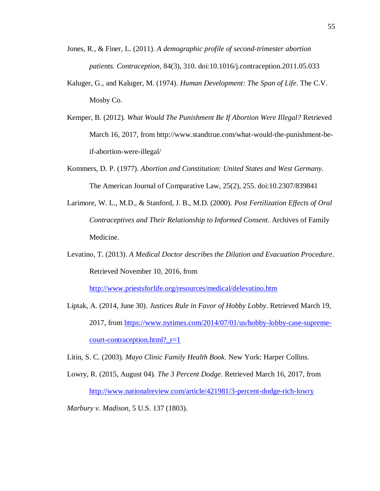- Jones, R., & Finer, L. (2011). *A demographic profile of second-trimester abortion patients. Contraception*, 84(3), 310. doi:10.1016/j.contraception.2011.05.033
- Kaluger, G., and Kaluger, M. (1974). *Human Development: The Span of Life*. The C.V. Mosby Co.
- Kemper, B. (2012). *What Would The Punishment Be If Abortion Were Illegal?* Retrieved March 16, 2017, from http://www.standtrue.com/what-would-the-punishment-beif-abortion-were-illegal/
- Kommers, D. P. (1977). *Abortion and Constitution: United States and West Germany*. The American Journal of Comparative Law, 25(2), 255. doi:10.2307/839841
- Larimore, W. L., M.D., & Stanford, J. B., M.D. (2000). *Post Fertilization Effects of Oral Contraceptives and Their Relationship to Informed Consent*. Archives of Family Medicine.
- Levatino, T. (2013). *A Medical Doctor describes the Dilation and Evacuation Procedure*. Retrieved November 10, 2016, from

<http://www.priestsforlife.org/resources/medical/delevatino.htm>

Liptak, A. (2014, June 30). *Justices Rule in Favor of Hobby Lobby*. Retrieved March 19, 2017, from [https://www.nytimes.com/2014/07/01/us/hobby-lobby-case-supreme-](https://www.nytimes.com/2014/07/01/us/hobby-lobby-case-supreme-court-contraception.html?_r=1) $\frac{\text{court-contraception.html}}{r=1}$ 

Litin, S. C. (2003). *Mayo Clinic Family Health Book*. New York: Harper Collins.

- Lowry, R. (2015, August 04). *The 3 Percent Dodge*. Retrieved March 16, 2017, from <http://www.nationalreview.com/article/421981/3-percent-dodge-rich-lowry>
- *Marbury v. Madison*, 5 U.S. 137 (1803).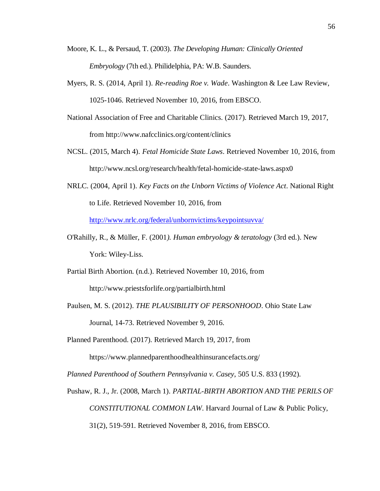- Moore, K. L., & Persaud, T. (2003). *The Developing Human: Clinically Oriented Embryology* (7th ed.). Philidelphia, PA: W.B. Saunders.
- Myers, R. S. (2014, April 1). *Re-reading Roe v. Wade*. Washington & Lee Law Review, 1025-1046. Retrieved November 10, 2016, from EBSCO.
- National Association of Free and Charitable Clinics. (2017). Retrieved March 19, 2017, from http://www.nafcclinics.org/content/clinics
- NCSL. (2015, March 4). *Fetal Homicide State Laws*. Retrieved November 10, 2016, from http://www.ncsl.org/research/health/fetal-homicide-state-laws.aspx0
- NRLC. (2004, April 1). *Key Facts on the Unborn Victims of Violence Act*. National Right to Life. Retrieved November 10, 2016, from <http://www.nrlc.org/federal/unbornvictims/keypointsuvva/>
- O'Rahilly, R., & Müller, F. (2001*). Human embryology & teratology* (3rd ed.). New York: Wiley-Liss.
- Partial Birth Abortion. (n.d.). Retrieved November 10, 2016, from http://www.priestsforlife.org/partialbirth.html
- Paulsen, M. S. (2012). *THE PLAUSIBILITY OF PERSONHOOD*. Ohio State Law Journal, 14-73. Retrieved November 9, 2016.
- Planned Parenthood. (2017). Retrieved March 19, 2017, from https://www.plannedparenthoodhealthinsurancefacts.org/

*Planned Parenthood of Southern Pennsylvania v. Casey*, 505 U.S. 833 (1992).

Pushaw, R. J., Jr. (2008, March 1). *PARTIAL-BIRTH ABORTION AND THE PERILS OF CONSTITUTIONAL COMMON LAW*. Harvard Journal of Law & Public Policy, 31(2), 519-591. Retrieved November 8, 2016, from EBSCO.